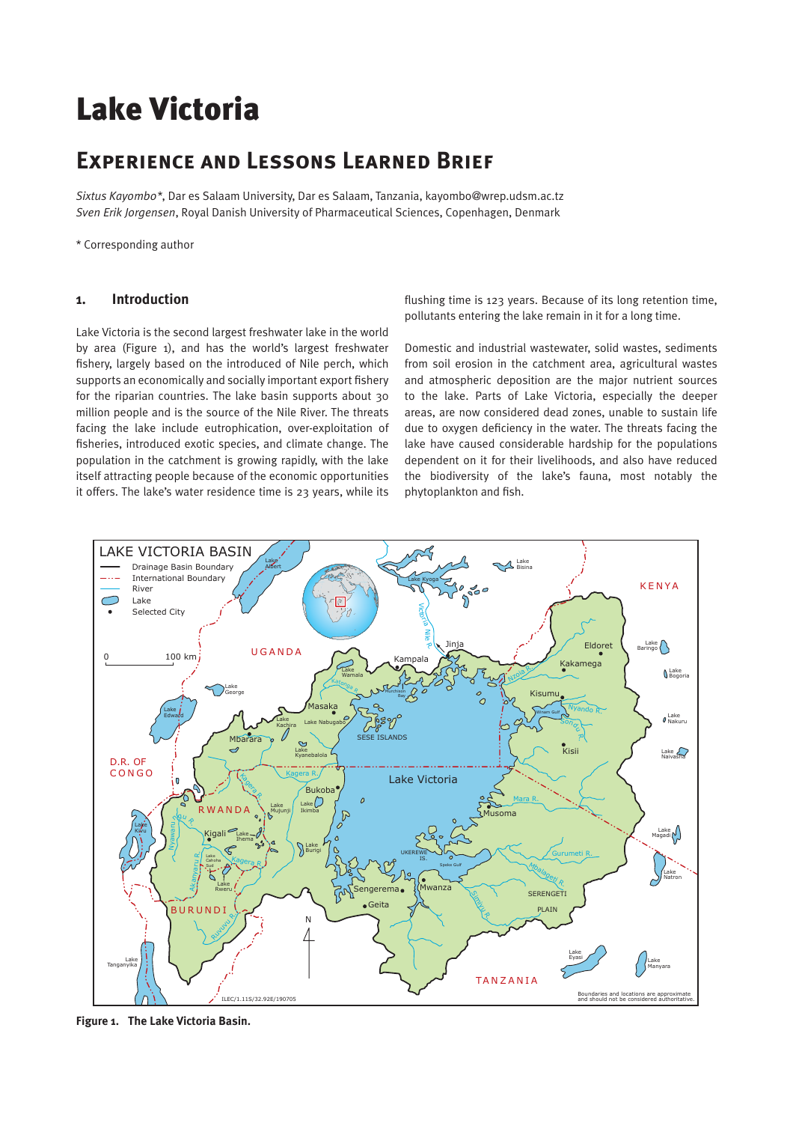# Lake Victoria

# **Experience and Lessons Learned Brief**

*Sixtus Kayombo\**, Dar es Salaam University, Dar es Salaam, Tanzania, kayombo@wrep.udsm.ac.tz *Sven Erik Jorgensen*, Royal Danish University of Pharmaceutical Sciences, Copenhagen, Denmark

\* Corresponding author

### **1. Introduction**

Lake Victoria is the second largest freshwater lake in the world by area (Figure 1), and has the world's largest freshwater fishery, largely based on the introduced of Nile perch, which supports an economically and socially important export fishery for the riparian countries. The lake basin supports about 30 million people and is the source of the Nile River. The threats facing the lake include eutrophication, over-exploitation of fisheries, introduced exotic species, and climate change. The population in the catchment is growing rapidly, with the lake itself attracting people because of the economic opportunities it offers. The lake's water residence time is 23 years, while its flushing time is 123 years. Because of its long retention time, pollutants entering the lake remain in it for a long time.

Domestic and industrial wastewater, solid wastes, sediments from soil erosion in the catchment area, agricultural wastes and atmospheric deposition are the major nutrient sources to the lake. Parts of Lake Victoria, especially the deeper areas, are now considered dead zones, unable to sustain life due to oxygen deficiency in the water. The threats facing the lake have caused considerable hardship for the populations dependent on it for their livelihoods, and also have reduced the biodiversity of the lake's fauna, most notably the phytoplankton and fish.



**Figure 1. The Lake Victoria Basin.**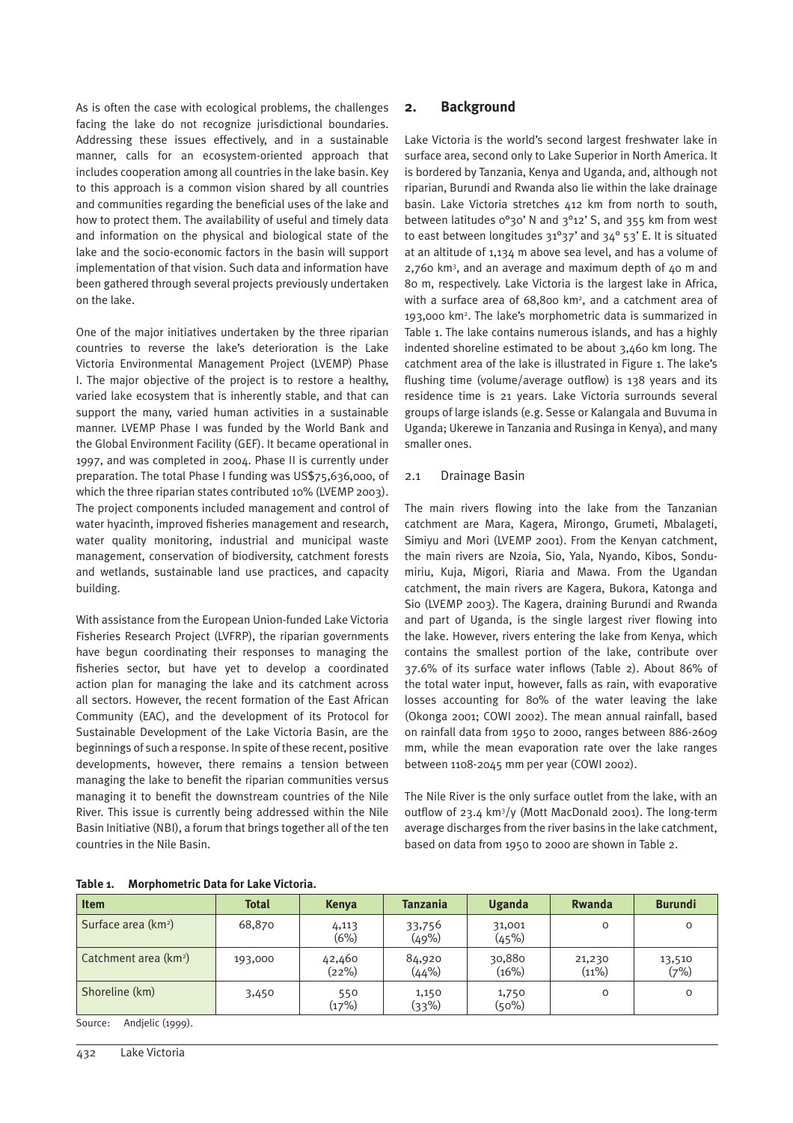As is often the case with ecological problems, the challenges facing the lake do not recognize jurisdictional boundaries. Addressing these issues effectively, and in a sustainable manner, calls for an ecosystem-oriented approach that includes cooperation among all countries in the lake basin. Key to this approach is a common vision shared by all countries and communities regarding the beneficial uses of the lake and how to protect them. The availability of useful and timely data and information on the physical and biological state of the lake and the socio-economic factors in the basin will support implementation of that vision. Such data and information have been gathered through several projects previously undertaken on the lake.

One of the major initiatives undertaken by the three riparian countries to reverse the lake's deterioration is the Lake Victoria Environmental Management Project (LVEMP) Phase I. The major objective of the project is to restore a healthy, varied lake ecosystem that is inherently stable, and that can support the many, varied human activities in a sustainable manner. LVEMP Phase I was funded by the World Bank and the Global Environment Facility (GEF). It became operational in 1997, and was completed in 2004. Phase II is currently under preparation. The total Phase I funding was US\$75,636,000, of which the three riparian states contributed 10% (LVEMP 2003). The project components included management and control of water hyacinth, improved fisheries management and research, water quality monitoring, industrial and municipal waste management, conservation of biodiversity, catchment forests and wetlands, sustainable land use practices, and capacity building.

With assistance from the European Union-funded Lake Victoria Fisheries Research Project (LVFRP), the riparian governments have begun coordinating their responses to managing the fisheries sector, but have yet to develop a coordinated action plan for managing the lake and its catchment across all sectors. However, the recent formation of the East African Community (EAC), and the development of its Protocol for Sustainable Development of the Lake Victoria Basin, are the beginnings of such a response. In spite of these recent, positive developments, however, there remains a tension between managing the lake to benefit the riparian communities versus managing it to benefit the downstream countries of the Nile River. This issue is currently being addressed within the Nile Basin Initiative (NBI), a forum that brings together all of the ten countries in the Nile Basin.

# **2. Background**

Lake Victoria is the world's second largest freshwater lake in surface area, second only to Lake Superior in North America. It is bordered by Tanzania, Kenya and Uganda, and, although not riparian, Burundi and Rwanda also lie within the lake drainage basin. Lake Victoria stretches 412 km from north to south, between latitudes 0°30' N and 3°12' S, and 355 km from west to east between longitudes  $31^{\circ}37'$  and  $34^{\circ}53'$  E. It is situated at an altitude of 1,134 m above sea level, and has a volume of 2,760 km3 , and an average and maximum depth of 40 m and 80 m, respectively. Lake Victoria is the largest lake in Africa, with a surface area of 68,800 km<sup>2</sup>, and a catchment area of 193,000 km2 . The lake's morphometric data is summarized in Table 1. The lake contains numerous islands, and has a highly indented shoreline estimated to be about 3,460 km long. The catchment area of the lake is illustrated in Figure 1. The lake's flushing time (volume/average outflow) is 138 years and its residence time is 21 years. Lake Victoria surrounds several groups of large islands (e.g. Sesse or Kalangala and Buvuma in Uganda; Ukerewe in Tanzania and Rusinga in Kenya), and many smaller ones.

#### 2.1 Drainage Basin

The main rivers flowing into the lake from the Tanzanian catchment are Mara, Kagera, Mirongo, Grumeti, Mbalageti, Simiyu and Mori (LVEMP 2001). From the Kenyan catchment, the main rivers are Nzoia, Sio, Yala, Nyando, Kibos, Sondumiriu, Kuja, Migori, Riaria and Mawa. From the Ugandan catchment, the main rivers are Kagera, Bukora, Katonga and Sio (LVEMP 2003). The Kagera, draining Burundi and Rwanda and part of Uganda, is the single largest river flowing into the lake. However, rivers entering the lake from Kenya, which contains the smallest portion of the lake, contribute over 37.6% of its surface water inflows (Table 2). About 86% of the total water input, however, falls as rain, with evaporative losses accounting for 80% of the water leaving the lake (Okonga 2001; COWI 2002). The mean annual rainfall, based on rainfall data from 1950 to 2000, ranges between 886-2609 mm, while the mean evaporation rate over the lake ranges between 1108-2045 mm per year (COWI 2002).

The Nile River is the only surface outlet from the lake, with an outflow of 23.4 km3 /y (Mott MacDonald 2001). The long-term average discharges from the river basins in the lake catchment, based on data from 1950 to 2000 are shown in Table 2.

| <b>Item</b>                       | <b>Total</b> | Kenya           | <b>Tanzania</b> | Uganda          | Rwanda          | <b>Burundi</b> |
|-----------------------------------|--------------|-----------------|-----------------|-----------------|-----------------|----------------|
| Surface area (km <sup>2</sup> )   | 68,870       | 4,113<br>(6%)   | 33,756<br>(49%) | 31,001<br>(45%) | O               | 0              |
| Catchment area (km <sup>2</sup> ) | 193,000      | 42,460<br>(22%) | 84,920<br>(44%) | 30,880<br>(16%) | 21,230<br>(11%) | 13,510<br>(7%) |
| Shoreline (km)                    | 3,450        | 550<br>(17%)    | 1,150<br>(33%)  | 1,750<br>(50%)  | O               | O              |

#### **Table 1. Morphometric Data for Lake Victoria.**

Source: Andjelic (1999).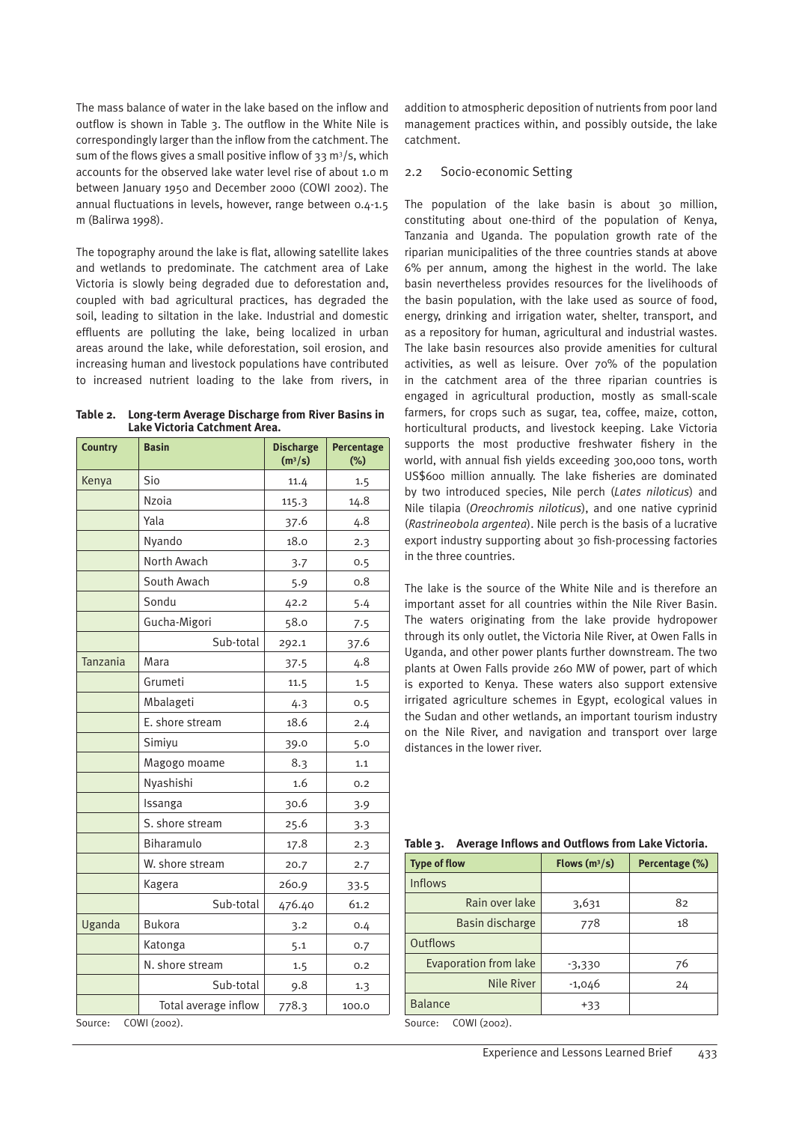The mass balance of water in the lake based on the inflow and outflow is shown in Table 3. The outflow in the White Nile is correspondingly larger than the inflow from the catchment. The sum of the flows gives a small positive inflow of 33  $\mathrm{m}^3/\mathrm{s}$ , which accounts for the observed lake water level rise of about 1.0 m between January 1950 and December 2000 (COWI 2002). The annual fluctuations in levels, however, range between 0.4-1.5 m (Balirwa 1998).

The topography around the lake is flat, allowing satellite lakes and wetlands to predominate. The catchment area of Lake Victoria is slowly being degraded due to deforestation and, coupled with bad agricultural practices, has degraded the soil, leading to siltation in the lake. Industrial and domestic effluents are polluting the lake, being localized in urban areas around the lake, while deforestation, soil erosion, and increasing human and livestock populations have contributed to increased nutrient loading to the lake from rivers, in

| Table 2. Long-term Average Discharge from River Basins in |
|-----------------------------------------------------------|
| Lake Victoria Catchment Area.                             |

| <b>Country</b>          | <b>Basin</b>         | <b>Discharge</b><br>(m <sup>3</sup> /s) | Percentage<br>(%) |  |  |
|-------------------------|----------------------|-----------------------------------------|-------------------|--|--|
| Kenya                   | Sio                  | 11.4                                    | 1.5               |  |  |
|                         | <b>Nzoia</b>         | 115.3                                   | 14.8              |  |  |
|                         | Yala                 | 37.6                                    | 4.8               |  |  |
|                         | Nyando               | 18.0                                    | 2.3               |  |  |
|                         | North Awach          | 3.7                                     | 0.5               |  |  |
|                         | South Awach          | 5.9                                     | 0.8               |  |  |
|                         | Sondu                | 42.2                                    | 5.4               |  |  |
|                         | Gucha-Migori         | 58.0                                    | 7.5               |  |  |
|                         | Sub-total            | 292.1                                   | 37.6              |  |  |
| Tanzania                | Mara                 | 37.5                                    | 4.8               |  |  |
|                         | Grumeti              | 11.5                                    | 1.5               |  |  |
|                         | Mbalageti            | 4.3                                     | 0.5               |  |  |
|                         | E. shore stream      | 18.6                                    | 2.4               |  |  |
|                         | Simiyu               | 39.0                                    | 5.0               |  |  |
|                         | Magogo moame         | 8.3                                     | 1.1               |  |  |
|                         | Nyashishi            | 1.6                                     | 0.2               |  |  |
|                         | Issanga              | 30.6                                    | 3.9               |  |  |
|                         | S. shore stream      | 25.6                                    | 3.3               |  |  |
|                         | Biharamulo           | 17.8                                    | 2.3               |  |  |
|                         | W. shore stream      | 20.7                                    | 2.7               |  |  |
|                         | Kagera               | 260.9                                   | 33.5              |  |  |
|                         | Sub-total            | 476.40                                  | 61.2              |  |  |
| Uganda                  | <b>Bukora</b>        | 3.2                                     | 0.4               |  |  |
|                         | Katonga              | 5.1                                     | 0.7               |  |  |
|                         | N. shore stream      | 1.5                                     | 0.2               |  |  |
|                         | Sub-total            | 9.8                                     | 1.3               |  |  |
|                         | Total average inflow | 778.3                                   | 100.0             |  |  |
| COWI (2002).<br>Source: |                      |                                         |                   |  |  |

addition to atmospheric deposition of nutrients from poor land management practices within, and possibly outside, the lake catchment.

#### 2.2 Socio-economic Setting

The population of the lake basin is about 30 million, constituting about one-third of the population of Kenya, Tanzania and Uganda. The population growth rate of the riparian municipalities of the three countries stands at above 6% per annum, among the highest in the world. The lake basin nevertheless provides resources for the livelihoods of the basin population, with the lake used as source of food, energy, drinking and irrigation water, shelter, transport, and as a repository for human, agricultural and industrial wastes. The lake basin resources also provide amenities for cultural activities, as well as leisure. Over 70% of the population in the catchment area of the three riparian countries is engaged in agricultural production, mostly as small-scale farmers, for crops such as sugar, tea, coffee, maize, cotton, horticultural products, and livestock keeping. Lake Victoria supports the most productive freshwater fishery in the world, with annual fish yields exceeding 300,000 tons, worth US\$600 million annually. The lake fisheries are dominated by two introduced species, Nile perch (*Lates niloticus*) and Nile tilapia (*Oreochromis niloticus*), and one native cyprinid (*Rastrineobola argentea*). Nile perch is the basis of a lucrative export industry supporting about 30 fish-processing factories in the three countries.

The lake is the source of the White Nile and is therefore an important asset for all countries within the Nile River Basin. The waters originating from the lake provide hydropower through its only outlet, the Victoria Nile River, at Owen Falls in Uganda, and other power plants further downstream. The two plants at Owen Falls provide 260 MW of power, part of which is exported to Kenya. These waters also support extensive irrigated agriculture schemes in Egypt, ecological values in the Sudan and other wetlands, an important tourism industry on the Nile River, and navigation and transport over large distances in the lower river.

|  |  | Table 3. Average Inflows and Outflows from Lake Victoria. |  |
|--|--|-----------------------------------------------------------|--|
|  |  |                                                           |  |

| <b>Type of flow</b>          | Flows $(m^3/s)$ | Percentage (%) |
|------------------------------|-----------------|----------------|
| <b>Inflows</b>               |                 |                |
| Rain over lake               | 3,631           | 82             |
| Basin discharge              | 778             | 18             |
| <b>Outflows</b>              |                 |                |
| <b>Evaporation from lake</b> | -3,330          | 76             |
| <b>Nile River</b>            | $-1,046$        | 24             |
| <b>Balance</b>               | $+33$           |                |

Source: COWI (2002).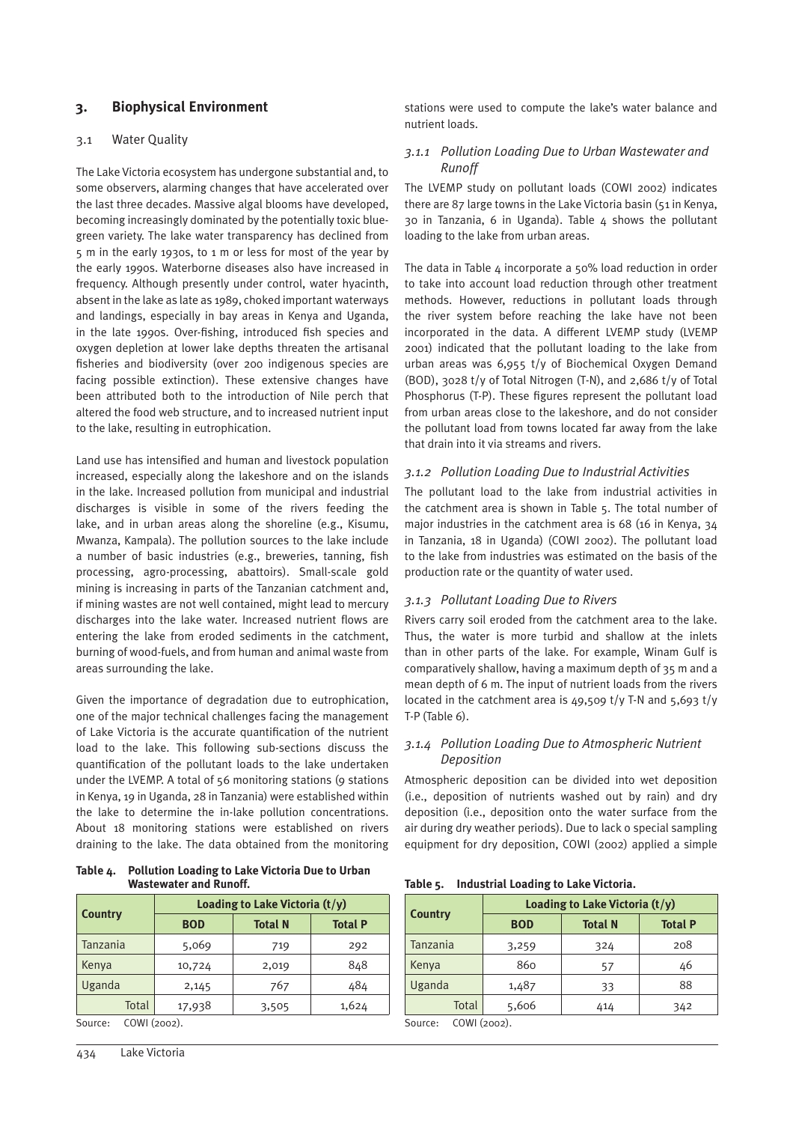# **3. Biophysical Environment**

#### 3.1 Water Quality

The Lake Victoria ecosystem has undergone substantial and, to some observers, alarming changes that have accelerated over the last three decades. Massive algal blooms have developed, becoming increasingly dominated by the potentially toxic bluegreen variety. The lake water transparency has declined from 5 m in the early 1930s, to 1 m or less for most of the year by the early 1990s. Waterborne diseases also have increased in frequency. Although presently under control, water hyacinth, absent in the lake as late as 1989, choked important waterways and landings, especially in bay areas in Kenya and Uganda, in the late 1990s. Over-fishing, introduced fish species and oxygen depletion at lower lake depths threaten the artisanal fisheries and biodiversity (over 200 indigenous species are facing possible extinction). These extensive changes have been attributed both to the introduction of Nile perch that altered the food web structure, and to increased nutrient input to the lake, resulting in eutrophication.

Land use has intensified and human and livestock population increased, especially along the lakeshore and on the islands in the lake. Increased pollution from municipal and industrial discharges is visible in some of the rivers feeding the lake, and in urban areas along the shoreline (e.g., Kisumu, Mwanza, Kampala). The pollution sources to the lake include a number of basic industries (e.g., breweries, tanning, fish processing, agro-processing, abattoirs). Small-scale gold mining is increasing in parts of the Tanzanian catchment and, if mining wastes are not well contained, might lead to mercury discharges into the lake water. Increased nutrient flows are entering the lake from eroded sediments in the catchment, burning of wood-fuels, and from human and animal waste from areas surrounding the lake.

Given the importance of degradation due to eutrophication, one of the major technical challenges facing the management of Lake Victoria is the accurate quantification of the nutrient load to the lake. This following sub-sections discuss the quantification of the pollutant loads to the lake undertaken under the LVEMP. A total of 56 monitoring stations (9 stations in Kenya, 19 in Uganda, 28 in Tanzania) were established within the lake to determine the in-lake pollution concentrations. About 18 monitoring stations were established on rivers draining to the lake. The data obtained from the monitoring

**Table 4. Pollution Loading to Lake Victoria Due to Urban Wastewater and Runoff.**

|        | <b>Total N</b> | <b>Total P</b> |
|--------|----------------|----------------|
| 5,069  | 719            | 292            |
| 10,724 | 2,019          | 848            |
| 2,145  | 767            | 484            |
| 17,938 | 3,505          | 1,624          |
|        | <b>BOD</b>     |                |

Source: COWI (2002).

stations were used to compute the lake's water balance and nutrient loads.

#### *3.1.1 Pollution Loading Due to Urban Wastewater and Runoff*

The LVEMP study on pollutant loads (COWI 2002) indicates there are 87 large towns in the Lake Victoria basin (51 in Kenya, 30 in Tanzania, 6 in Uganda). Table 4 shows the pollutant loading to the lake from urban areas.

The data in Table  $4$  incorporate a 50% load reduction in order to take into account load reduction through other treatment methods. However, reductions in pollutant loads through the river system before reaching the lake have not been incorporated in the data. A different LVEMP study (LVEMP 2001) indicated that the pollutant loading to the lake from urban areas was 6,955 t/y of Biochemical Oxygen Demand (BOD), 3028 t/y of Total Nitrogen (T-N), and 2,686 t/y of Total Phosphorus (T-P). These figures represent the pollutant load from urban areas close to the lakeshore, and do not consider the pollutant load from towns located far away from the lake that drain into it via streams and rivers.

# *3.1.2 Pollution Loading Due to Industrial Activities*

The pollutant load to the lake from industrial activities in the catchment area is shown in Table 5. The total number of major industries in the catchment area is 68 (16 in Kenya, 34 in Tanzania, 18 in Uganda) (COWI 2002). The pollutant load to the lake from industries was estimated on the basis of the production rate or the quantity of water used.

#### *3.1.3 Pollutant Loading Due to Rivers*

Rivers carry soil eroded from the catchment area to the lake. Thus, the water is more turbid and shallow at the inlets than in other parts of the lake. For example, Winam Gulf is comparatively shallow, having a maximum depth of 35 m and a mean depth of 6 m. The input of nutrient loads from the rivers located in the catchment area is  $49,509$  t/y T-N and  $5,693$  t/y T-P (Table 6).

#### *3.1.4 Pollution Loading Due to Atmospheric Nutrient Deposition*

Atmospheric deposition can be divided into wet deposition (i.e., deposition of nutrients washed out by rain) and dry deposition (i.e., deposition onto the water surface from the air during dry weather periods). Due to lack o special sampling equipment for dry deposition, COWI (2002) applied a simple

**Table 5. Industrial Loading to Lake Victoria.**

|                | Loading to Lake Victoria $(t/y)$ |                |                |  |  |
|----------------|----------------------------------|----------------|----------------|--|--|
| <b>Country</b> | <b>BOD</b>                       | <b>Total N</b> | <b>Total P</b> |  |  |
| Tanzania       | 3,259                            | 324            | 208            |  |  |
| Kenya          | 860                              | 57             | 46             |  |  |
| Uganda         | 1,487                            | 33             | 88             |  |  |
| Total          | 5,606                            | 414            | 342            |  |  |

Source: COWI (2002).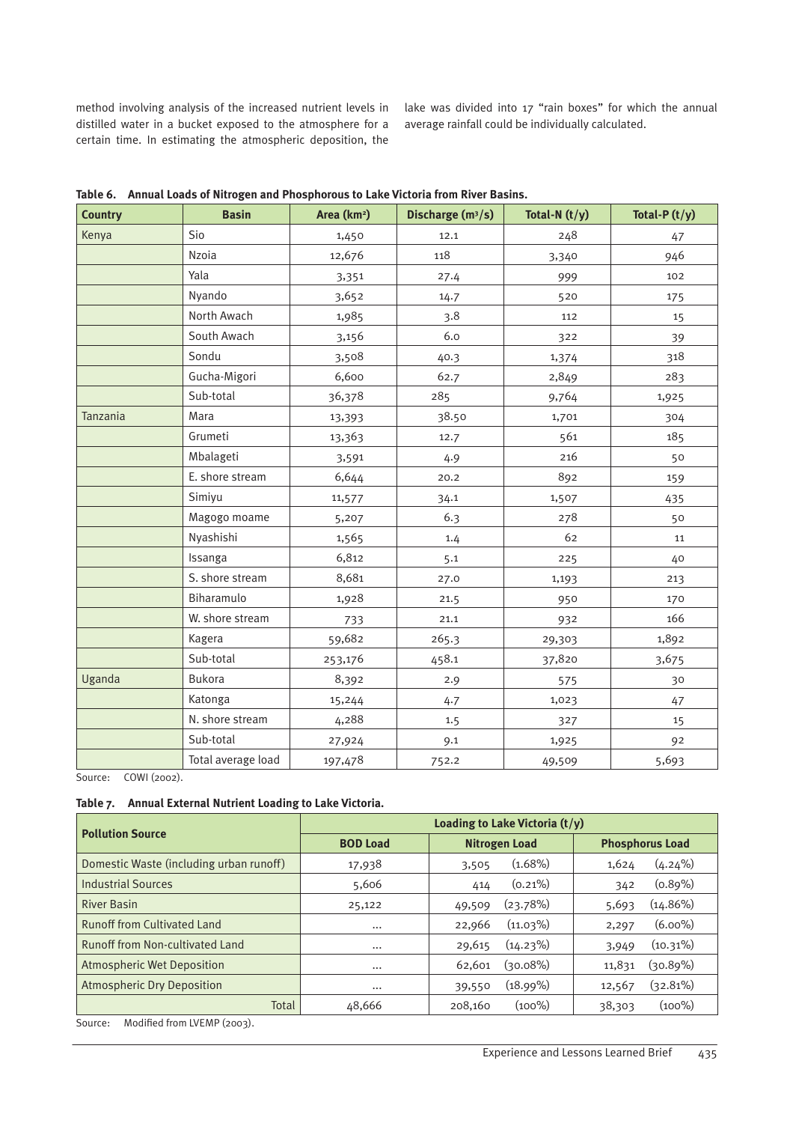method involving analysis of the increased nutrient levels in distilled water in a bucket exposed to the atmosphere for a certain time. In estimating the atmospheric deposition, the

lake was divided into 17 "rain boxes" for which the annual average rainfall could be individually calculated.

| <b>Country</b> | <b>Basin</b>       | Area (km <sup>2</sup> ) | Discharge (m <sup>3</sup> /s) | Total-N $(t/y)$ | Total-P $(t/y)$ |
|----------------|--------------------|-------------------------|-------------------------------|-----------------|-----------------|
| Kenya          | Sio                | 1,450                   | 12.1                          | 248             | 47              |
|                | <b>Nzoia</b>       | 12,676                  | 118                           | 3,340           | 946             |
|                | Yala               | 3,351                   | 27.4                          | 999             | 102             |
|                | Nyando             | 3,652                   | 14.7                          | 520             | 175             |
|                | North Awach        | 1,985                   | 3.8                           | 112             | 15              |
|                | South Awach        | 3,156                   | 6.0                           | 322             | 39              |
|                | Sondu              | 3,508                   | 40.3                          | 1,374           | 318             |
|                | Gucha-Migori       | 6,600                   | 62.7                          | 2,849           | 283             |
|                | Sub-total          | 36,378                  | 285                           | 9,764           | 1,925           |
| Tanzania       | Mara               | 13,393                  | 38.50                         | 1,701           | 304             |
|                | Grumeti            | 13,363                  | 12.7                          | 561             | 185             |
|                | Mbalageti          | 3,591                   | 4.9                           | 216             | 50              |
|                | E. shore stream    | 6,644                   | 20.2                          | 892             | 159             |
|                | Simiyu             | 11,577                  | 34.1                          | 1,507           | 435             |
|                | Magogo moame       | 5,207                   | 6.3                           | 278             | 50              |
|                | Nyashishi          | 1,565                   | 1.4                           | 62              | 11              |
|                | Issanga            | 6,812                   | 5.1                           | 225             | 40              |
|                | S. shore stream    | 8,681                   | 27.0                          | 1,193           | 213             |
|                | Biharamulo         | 1,928                   | 21.5                          | 950             | 170             |
|                | W. shore stream    | 733                     | 21.1                          | 932             | 166             |
|                | Kagera             | 59,682                  | 265.3                         | 29,303          | 1,892           |
|                | Sub-total          | 253,176                 | 458.1                         | 37,820          | 3,675           |
| Uganda         | <b>Bukora</b>      | 8,392                   | 2.9                           | 575             | 30              |
|                | Katonga            | 15,244                  | 4.7                           | 1,023           | 47              |
|                | N. shore stream    | 4,288                   | 1.5                           | 327             | 15              |
|                | Sub-total          | 27,924                  | 9.1                           | 1,925           | 92              |
|                | Total average load | 197,478                 | 752.2                         | 49,509          | 5,693           |

**Table 6. Annual Loads of Nitrogen and Phosphorous to Lake Victoria from River Basins.**

Source: COWI (2002).

#### **Table 7. Annual External Nutrient Loading to Lake Victoria.**

| <b>Pollution Source</b>                 | Loading to Lake Victoria $(t/y)$ |                       |                        |  |  |  |
|-----------------------------------------|----------------------------------|-----------------------|------------------------|--|--|--|
|                                         | <b>BOD Load</b>                  | <b>Nitrogen Load</b>  | <b>Phosphorus Load</b> |  |  |  |
| Domestic Waste (including urban runoff) | 17,938                           | $(1.68\%)$<br>3,505   | $(4.24\%)$<br>1,624    |  |  |  |
| <b>Industrial Sources</b>               | 5,606                            | $(0.21\%)$<br>414     | $(0.89\%)$<br>342      |  |  |  |
| <b>River Basin</b>                      | 25,122                           | (23.78%)<br>49,509    | $(14.86\%)$<br>5,693   |  |  |  |
| <b>Runoff from Cultivated Land</b>      | $\cdots$                         | $(11.03\%)$<br>22,966 | $(6.00\%)$<br>2,297    |  |  |  |
| <b>Runoff from Non-cultivated Land</b>  | $\cdots$                         | $(14.23\%)$<br>29,615 | $(10.31\%)$<br>3,949   |  |  |  |
| <b>Atmospheric Wet Deposition</b>       | $\cdots$                         | (२०.०8%)<br>62,601    | $(30.89\%)$<br>11,831  |  |  |  |
| <b>Atmospheric Dry Deposition</b>       | $\cdots$                         | (18.99%)<br>39,550    | $(32.81\%)$<br>12,567  |  |  |  |
| Total                                   | 48,666                           | $(100\%)$<br>208.160  | $(100\%)$<br>38,303    |  |  |  |

Source: Modified from LVEMP (2003).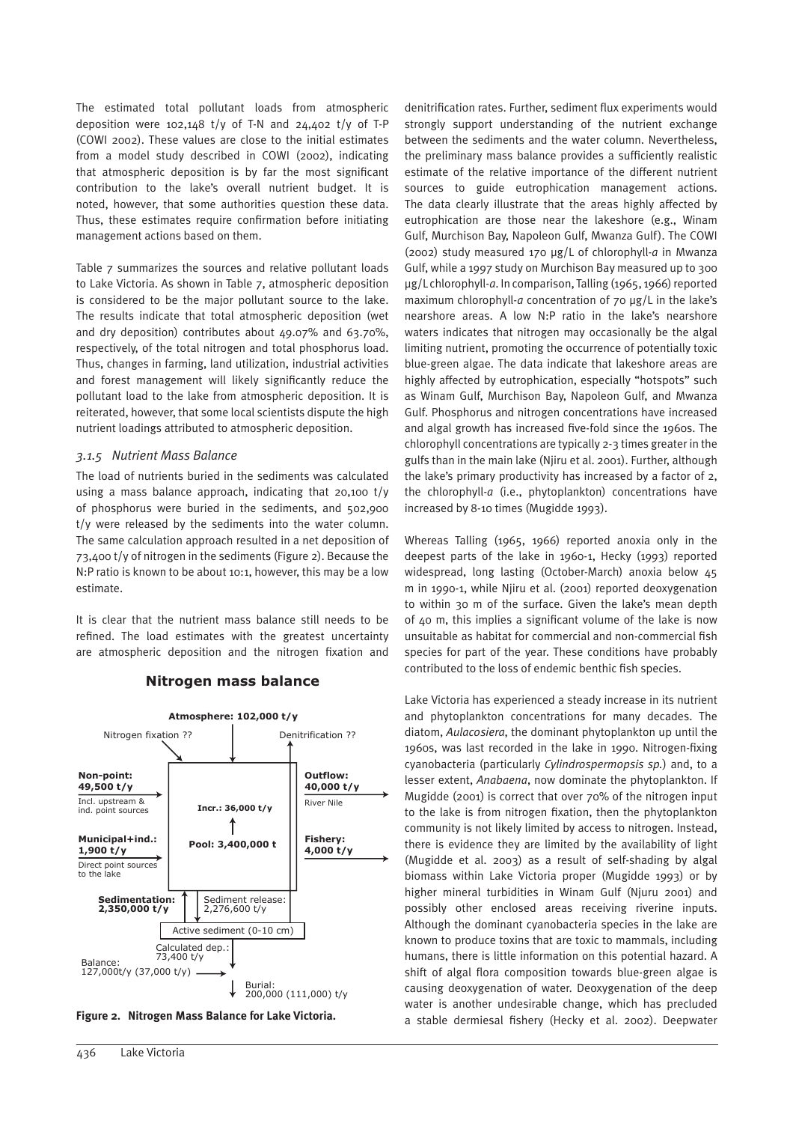The estimated total pollutant loads from atmospheric deposition were 102,148 t/y of T-N and 24,402 t/y of T-P (COWI 2002). These values are close to the initial estimates from a model study described in COWI (2002), indicating that atmospheric deposition is by far the most significant contribution to the lake's overall nutrient budget. It is noted, however, that some authorities question these data. Thus, these estimates require confirmation before initiating management actions based on them.

Table 7 summarizes the sources and relative pollutant loads to Lake Victoria. As shown in Table 7, atmospheric deposition is considered to be the major pollutant source to the lake. The results indicate that total atmospheric deposition (wet and dry deposition) contributes about 49.07% and 63.70%, respectively, of the total nitrogen and total phosphorus load. Thus, changes in farming, land utilization, industrial activities and forest management will likely significantly reduce the pollutant load to the lake from atmospheric deposition. It is reiterated, however, that some local scientists dispute the high nutrient loadings attributed to atmospheric deposition.

#### *3.1.5 Nutrient Mass Balance*

The load of nutrients buried in the sediments was calculated using a mass balance approach, indicating that 20,100 t/y of phosphorus were buried in the sediments, and 502,900 t/y were released by the sediments into the water column. The same calculation approach resulted in a net deposition of 73,400 t/y of nitrogen in the sediments (Figure 2). Because the N:P ratio is known to be about 10:1, however, this may be a low estimate.

It is clear that the nutrient mass balance still needs to be refined. The load estimates with the greatest uncertainty are atmospheric deposition and the nitrogen fixation and







denitrification rates. Further, sediment flux experiments would strongly support understanding of the nutrient exchange between the sediments and the water column. Nevertheless, the preliminary mass balance provides a sufficiently realistic estimate of the relative importance of the different nutrient sources to guide eutrophication management actions. The data clearly illustrate that the areas highly affected by eutrophication are those near the lakeshore (e.g., Winam Gulf, Murchison Bay, Napoleon Gulf, Mwanza Gulf). The COWI (2002) study measured 170 µg/L of chlorophyll-*a* in Mwanza Gulf, while a 1997 study on Murchison Bay measured up to 300 µg/L chlorophyll-*a*. In comparison, Talling (1965, 1966) reported maximum chlorophyll-a concentration of 70 µg/L in the lake's nearshore areas. A low N:P ratio in the lake's nearshore waters indicates that nitrogen may occasionally be the algal limiting nutrient, promoting the occurrence of potentially toxic blue-green algae. The data indicate that lakeshore areas are highly affected by eutrophication, especially "hotspots" such as Winam Gulf, Murchison Bay, Napoleon Gulf, and Mwanza Gulf. Phosphorus and nitrogen concentrations have increased and algal growth has increased five-fold since the 1960s. The chlorophyll concentrations are typically 2-3 times greater in the gulfs than in the main lake (Njiru et al. 2001). Further, although the lake's primary productivity has increased by a factor of 2, the chlorophyll-*a* (i.e., phytoplankton) concentrations have increased by 8-10 times (Mugidde 1993).

Whereas Talling (1965, 1966) reported anoxia only in the deepest parts of the lake in 1960-1, Hecky (1993) reported widespread, long lasting (October-March) anoxia below 45 m in 1990-1, while Njiru et al. (2001) reported deoxygenation to within 30 m of the surface. Given the lake's mean depth of 40 m, this implies a significant volume of the lake is now unsuitable as habitat for commercial and non-commercial fish species for part of the year. These conditions have probably contributed to the loss of endemic benthic fish species.

Lake Victoria has experienced a steady increase in its nutrient and phytoplankton concentrations for many decades. The diatom, *Aulacosiera*, the dominant phytoplankton up until the 1960s, was last recorded in the lake in 1990. Nitrogen-fixing cyanobacteria (particularly *Cylindrospermopsis sp.*) and, to a lesser extent, *Anabaena*, now dominate the phytoplankton. If Mugidde (2001) is correct that over 70% of the nitrogen input to the lake is from nitrogen fixation, then the phytoplankton community is not likely limited by access to nitrogen. Instead, there is evidence they are limited by the availability of light (Mugidde et al. 2003) as a result of self-shading by algal biomass within Lake Victoria proper (Mugidde 1993) or by higher mineral turbidities in Winam Gulf (Njuru 2001) and possibly other enclosed areas receiving riverine inputs. Although the dominant cyanobacteria species in the lake are known to produce toxins that are toxic to mammals, including humans, there is little information on this potential hazard. A shift of algal flora composition towards blue-green algae is causing deoxygenation of water. Deoxygenation of the deep water is another undesirable change, which has precluded Figure 2. Nitrogen Mass Balance for Lake Victoria. **Figure 2. Stable dermiesal fishery (Hecky et al. 2002)**. Deepwater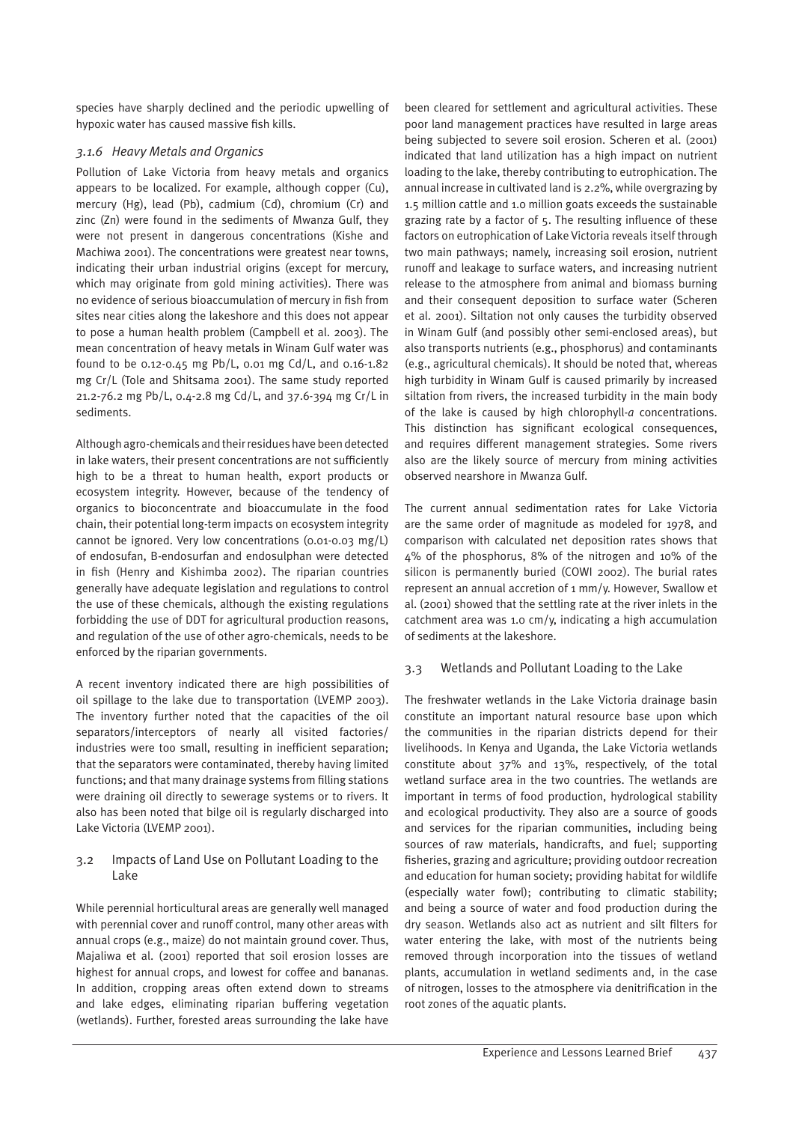species have sharply declined and the periodic upwelling of hypoxic water has caused massive fish kills.

# *3.1.6 Heavy Metals and Organics*

Pollution of Lake Victoria from heavy metals and organics appears to be localized. For example, although copper (Cu), mercury (Hg), lead (Pb), cadmium (Cd), chromium (Cr) and zinc (Zn) were found in the sediments of Mwanza Gulf, they were not present in dangerous concentrations (Kishe and Machiwa 2001). The concentrations were greatest near towns, indicating their urban industrial origins (except for mercury, which may originate from gold mining activities). There was no evidence of serious bioaccumulation of mercury in fish from sites near cities along the lakeshore and this does not appear to pose a human health problem (Campbell et al. 2003). The mean concentration of heavy metals in Winam Gulf water was found to be 0.12-0.45 mg Pb/L, 0.01 mg Cd/L, and 0.16-1.82 mg Cr/L (Tole and Shitsama 2001). The same study reported 21.2-76.2 mg Pb/L, 0.4-2.8 mg Cd/L, and 37.6-394 mg Cr/L in sediments.

Although agro-chemicals and their residues have been detected in lake waters, their present concentrations are not sufficiently high to be a threat to human health, export products or ecosystem integrity. However, because of the tendency of organics to bioconcentrate and bioaccumulate in the food chain, their potential long-term impacts on ecosystem integrity cannot be ignored. Very low concentrations (0.01-0.03 mg/L) of endosufan, B-endosurfan and endosulphan were detected in fish (Henry and Kishimba 2002). The riparian countries generally have adequate legislation and regulations to control the use of these chemicals, although the existing regulations forbidding the use of DDT for agricultural production reasons, and regulation of the use of other agro-chemicals, needs to be enforced by the riparian governments.

A recent inventory indicated there are high possibilities of oil spillage to the lake due to transportation (LVEMP 2003). The inventory further noted that the capacities of the oil separators/interceptors of nearly all visited factories/ industries were too small, resulting in inefficient separation; that the separators were contaminated, thereby having limited functions; and that many drainage systems from filling stations were draining oil directly to sewerage systems or to rivers. It also has been noted that bilge oil is regularly discharged into Lake Victoria (LVEMP 2001).

#### 3.2 Impacts of Land Use on Pollutant Loading to the Lake

While perennial horticultural areas are generally well managed with perennial cover and runoff control, many other areas with annual crops (e.g., maize) do not maintain ground cover. Thus, Majaliwa et al. (2001) reported that soil erosion losses are highest for annual crops, and lowest for coffee and bananas. In addition, cropping areas often extend down to streams and lake edges, eliminating riparian buffering vegetation (wetlands). Further, forested areas surrounding the lake have

been cleared for settlement and agricultural activities. These poor land management practices have resulted in large areas being subjected to severe soil erosion. Scheren et al. (2001) indicated that land utilization has a high impact on nutrient loading to the lake, thereby contributing to eutrophication. The annual increase in cultivated land is 2.2%, while overgrazing by 1.5 million cattle and 1.0 million goats exceeds the sustainable grazing rate by a factor of 5. The resulting influence of these factors on eutrophication of Lake Victoria reveals itself through two main pathways; namely, increasing soil erosion, nutrient runoff and leakage to surface waters, and increasing nutrient release to the atmosphere from animal and biomass burning and their consequent deposition to surface water (Scheren et al. 2001). Siltation not only causes the turbidity observed in Winam Gulf (and possibly other semi-enclosed areas), but also transports nutrients (e.g., phosphorus) and contaminants (e.g., agricultural chemicals). It should be noted that, whereas high turbidity in Winam Gulf is caused primarily by increased siltation from rivers, the increased turbidity in the main body of the lake is caused by high chlorophyll-*a* concentrations. This distinction has significant ecological consequences, and requires different management strategies. Some rivers also are the likely source of mercury from mining activities observed nearshore in Mwanza Gulf.

The current annual sedimentation rates for Lake Victoria are the same order of magnitude as modeled for 1978, and comparison with calculated net deposition rates shows that 4% of the phosphorus, 8% of the nitrogen and 10% of the silicon is permanently buried (COWI 2002). The burial rates represent an annual accretion of 1 mm/y. However, Swallow et al. (2001) showed that the settling rate at the river inlets in the catchment area was 1.0 cm/y, indicating a high accumulation of sediments at the lakeshore.

# 3.3 Wetlands and Pollutant Loading to the Lake

The freshwater wetlands in the Lake Victoria drainage basin constitute an important natural resource base upon which the communities in the riparian districts depend for their livelihoods. In Kenya and Uganda, the Lake Victoria wetlands constitute about 37% and 13%, respectively, of the total wetland surface area in the two countries. The wetlands are important in terms of food production, hydrological stability and ecological productivity. They also are a source of goods and services for the riparian communities, including being sources of raw materials, handicrafts, and fuel; supporting fisheries, grazing and agriculture; providing outdoor recreation and education for human society; providing habitat for wildlife (especially water fowl); contributing to climatic stability; and being a source of water and food production during the dry season. Wetlands also act as nutrient and silt filters for water entering the lake, with most of the nutrients being removed through incorporation into the tissues of wetland plants, accumulation in wetland sediments and, in the case of nitrogen, losses to the atmosphere via denitrification in the root zones of the aquatic plants.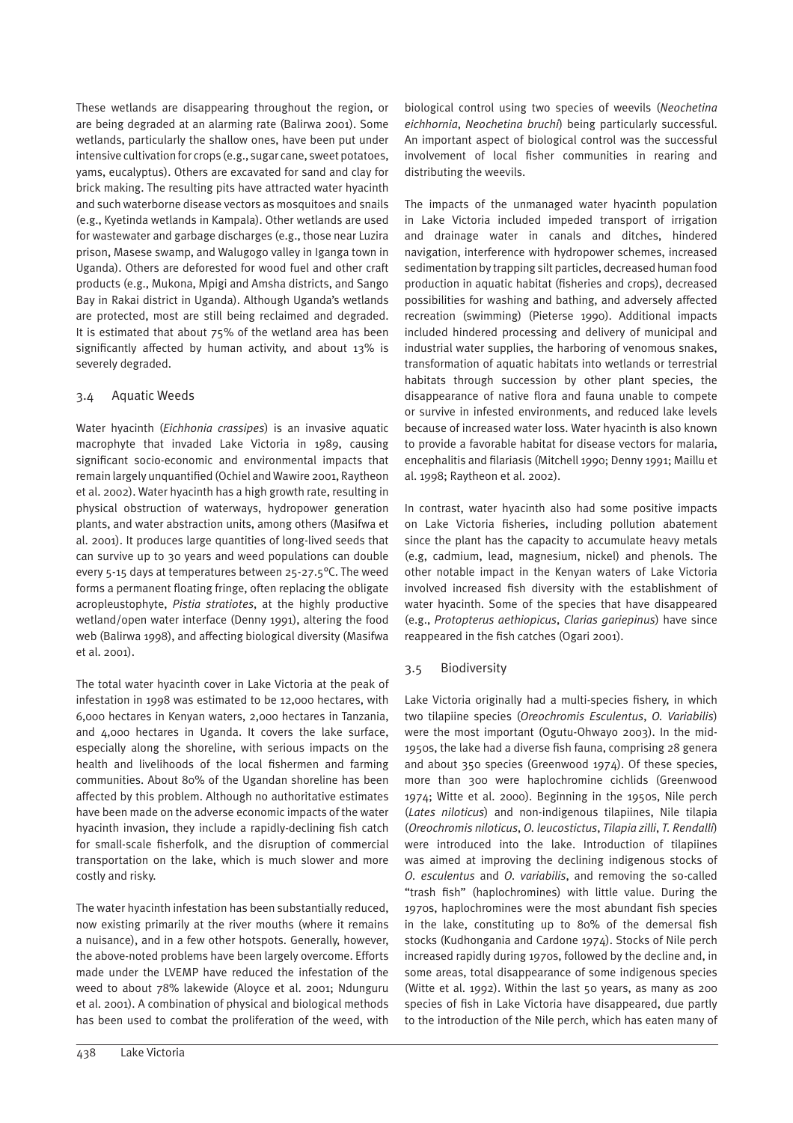These wetlands are disappearing throughout the region, or are being degraded at an alarming rate (Balirwa 2001). Some wetlands, particularly the shallow ones, have been put under intensive cultivation for crops (e.g., sugar cane, sweet potatoes, yams, eucalyptus). Others are excavated for sand and clay for brick making. The resulting pits have attracted water hyacinth and such waterborne disease vectors as mosquitoes and snails (e.g., Kyetinda wetlands in Kampala). Other wetlands are used for wastewater and garbage discharges (e.g., those near Luzira prison, Masese swamp, and Walugogo valley in Iganga town in Uganda). Others are deforested for wood fuel and other craft products (e.g., Mukona, Mpigi and Amsha districts, and Sango Bay in Rakai district in Uganda). Although Uganda's wetlands are protected, most are still being reclaimed and degraded. It is estimated that about 75% of the wetland area has been significantly affected by human activity, and about 13% is severely degraded.

### 3.4 Aquatic Weeds

Water hyacinth (*Eichhonia crassipes*) is an invasive aquatic macrophyte that invaded Lake Victoria in 1989, causing significant socio-economic and environmental impacts that remain largely unquantified (Ochiel and Wawire 2001, Raytheon et al. 2002). Water hyacinth has a high growth rate, resulting in physical obstruction of waterways, hydropower generation plants, and water abstraction units, among others (Masifwa et al. 2001). It produces large quantities of long-lived seeds that can survive up to 30 years and weed populations can double every 5-15 days at temperatures between 25-27.5°C. The weed forms a permanent floating fringe, often replacing the obligate acropleustophyte, *Pistia stratiotes*, at the highly productive wetland/open water interface (Denny 1991), altering the food web (Balirwa 1998), and affecting biological diversity (Masifwa et al. 2001).

The total water hyacinth cover in Lake Victoria at the peak of infestation in 1998 was estimated to be 12,000 hectares, with 6,000 hectares in Kenyan waters, 2,000 hectares in Tanzania, and 4,000 hectares in Uganda. It covers the lake surface, especially along the shoreline, with serious impacts on the health and livelihoods of the local fishermen and farming communities. About 80% of the Ugandan shoreline has been affected by this problem. Although no authoritative estimates have been made on the adverse economic impacts of the water hyacinth invasion, they include a rapidly-declining fish catch for small-scale fisherfolk, and the disruption of commercial transportation on the lake, which is much slower and more costly and risky.

The water hyacinth infestation has been substantially reduced, now existing primarily at the river mouths (where it remains a nuisance), and in a few other hotspots. Generally, however, the above-noted problems have been largely overcome. Efforts made under the LVEMP have reduced the infestation of the weed to about 78% lakewide (Aloyce et al. 2001; Ndunguru et al. 2001). A combination of physical and biological methods has been used to combat the proliferation of the weed, with

biological control using two species of weevils (*Neochetina eichhornia*, *Neochetina bruchi*) being particularly successful. An important aspect of biological control was the successful involvement of local fisher communities in rearing and distributing the weevils.

The impacts of the unmanaged water hyacinth population in Lake Victoria included impeded transport of irrigation and drainage water in canals and ditches, hindered navigation, interference with hydropower schemes, increased sedimentation by trapping silt particles, decreased human food production in aquatic habitat (fisheries and crops), decreased possibilities for washing and bathing, and adversely affected recreation (swimming) (Pieterse 1990). Additional impacts included hindered processing and delivery of municipal and industrial water supplies, the harboring of venomous snakes, transformation of aquatic habitats into wetlands or terrestrial habitats through succession by other plant species, the disappearance of native flora and fauna unable to compete or survive in infested environments, and reduced lake levels because of increased water loss. Water hyacinth is also known to provide a favorable habitat for disease vectors for malaria, encephalitis and filariasis (Mitchell 1990; Denny 1991; Maillu et al. 1998; Raytheon et al. 2002).

In contrast, water hyacinth also had some positive impacts on Lake Victoria fisheries, including pollution abatement since the plant has the capacity to accumulate heavy metals (e.g, cadmium, lead, magnesium, nickel) and phenols. The other notable impact in the Kenyan waters of Lake Victoria involved increased fish diversity with the establishment of water hyacinth. Some of the species that have disappeared (e.g., *Protopterus aethiopicus*, *Clarias gariepinus*) have since reappeared in the fish catches (Ogari 2001).

# 3.5 Biodiversity

Lake Victoria originally had a multi-species fishery, in which two tilapiine species (*Oreochromis Esculentus*, *O. Variabilis*) were the most important (Ogutu-Ohwayo 2003). In the mid-1950s, the lake had a diverse fish fauna, comprising 28 genera and about 350 species (Greenwood 1974). Of these species, more than 300 were haplochromine cichlids (Greenwood 1974; Witte et al. 2000). Beginning in the 1950s, Nile perch (*Lates niloticus*) and non-indigenous tilapiines, Nile tilapia (*Oreochromis niloticus*, *O. leucostictus*, *Tilapia zilli*, *T. Rendalli*) were introduced into the lake. Introduction of tilapiines was aimed at improving the declining indigenous stocks of *O. esculentus* and *O. variabilis*, and removing the so-called "trash fish" (haplochromines) with little value. During the 1970s, haplochromines were the most abundant fish species in the lake, constituting up to 80% of the demersal fish stocks (Kudhongania and Cardone 1974). Stocks of Nile perch increased rapidly during 1970s, followed by the decline and, in some areas, total disappearance of some indigenous species (Witte et al. 1992). Within the last 50 years, as many as 200 species of fish in Lake Victoria have disappeared, due partly to the introduction of the Nile perch, which has eaten many of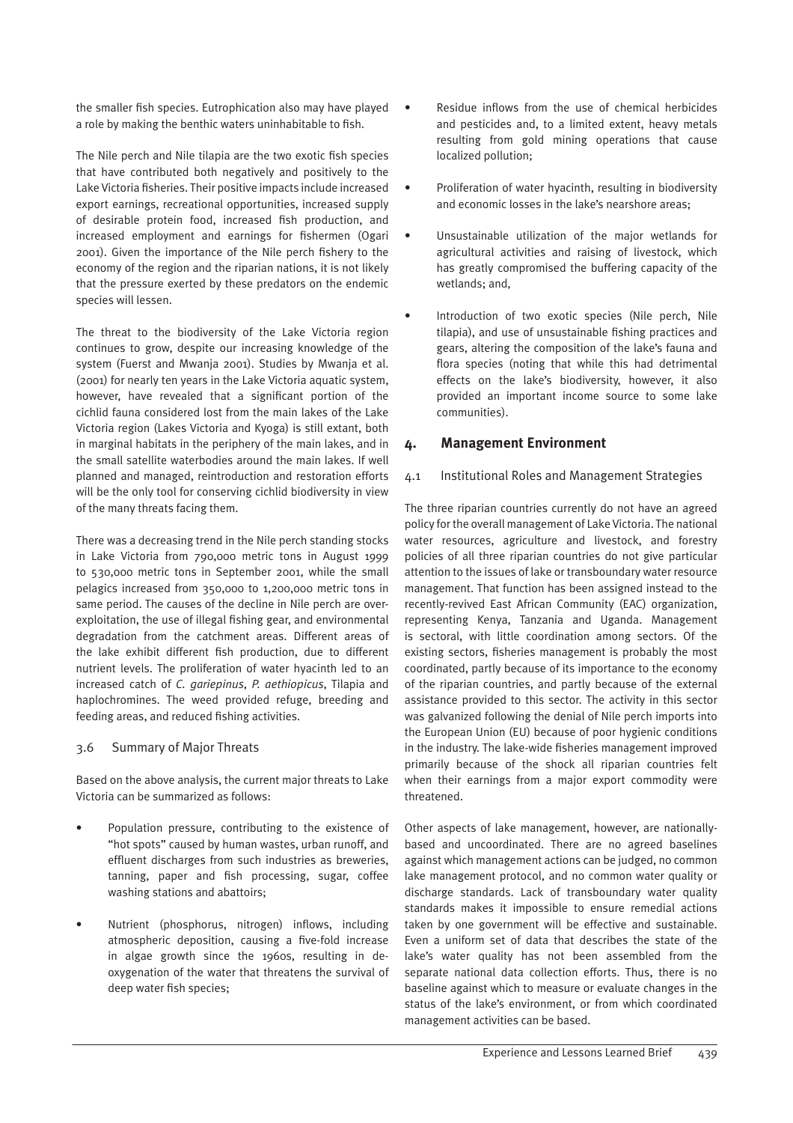the smaller fish species. Eutrophication also may have played a role by making the benthic waters uninhabitable to fish.

The Nile perch and Nile tilapia are the two exotic fish species that have contributed both negatively and positively to the Lake Victoria fisheries. Their positive impacts include increased export earnings, recreational opportunities, increased supply of desirable protein food, increased fish production, and increased employment and earnings for fishermen (Ogari 2001). Given the importance of the Nile perch fishery to the economy of the region and the riparian nations, it is not likely that the pressure exerted by these predators on the endemic species will lessen.

The threat to the biodiversity of the Lake Victoria region continues to grow, despite our increasing knowledge of the system (Fuerst and Mwanja 2001). Studies by Mwanja et al. (2001) for nearly ten years in the Lake Victoria aquatic system, however, have revealed that a significant portion of the cichlid fauna considered lost from the main lakes of the Lake Victoria region (Lakes Victoria and Kyoga) is still extant, both in marginal habitats in the periphery of the main lakes, and in the small satellite waterbodies around the main lakes. If well planned and managed, reintroduction and restoration efforts will be the only tool for conserving cichlid biodiversity in view of the many threats facing them.

There was a decreasing trend in the Nile perch standing stocks in Lake Victoria from 790,000 metric tons in August 1999 to 530,000 metric tons in September 2001, while the small pelagics increased from 350,000 to 1,200,000 metric tons in same period. The causes of the decline in Nile perch are overexploitation, the use of illegal fishing gear, and environmental degradation from the catchment areas. Different areas of the lake exhibit different fish production, due to different nutrient levels. The proliferation of water hyacinth led to an increased catch of *C. gariepinus*, *P. aethiopicus*, Tilapia and haplochromines. The weed provided refuge, breeding and feeding areas, and reduced fishing activities.

#### 3.6 Summary of Major Threats

Based on the above analysis, the current major threats to Lake Victoria can be summarized as follows:

- Population pressure, contributing to the existence of "hot spots" caused by human wastes, urban runoff, and effluent discharges from such industries as breweries, tanning, paper and fish processing, sugar, coffee washing stations and abattoirs;
- Nutrient (phosphorus, nitrogen) inflows, including atmospheric deposition, causing a five-fold increase in algae growth since the 1960s, resulting in deoxygenation of the water that threatens the survival of deep water fish species;
- Residue inflows from the use of chemical herbicides and pesticides and, to a limited extent, heavy metals resulting from gold mining operations that cause localized pollution;
- Proliferation of water hyacinth, resulting in biodiversity and economic losses in the lake's nearshore areas;
- Unsustainable utilization of the major wetlands for agricultural activities and raising of livestock, which has greatly compromised the buffering capacity of the wetlands; and,
- Introduction of two exotic species (Nile perch, Nile tilapia), and use of unsustainable fishing practices and gears, altering the composition of the lake's fauna and flora species (noting that while this had detrimental effects on the lake's biodiversity, however, it also provided an important income source to some lake communities).

### **4. Management Environment**

#### 4.1 Institutional Roles and Management Strategies

The three riparian countries currently do not have an agreed policy for the overall management of Lake Victoria. The national water resources, agriculture and livestock, and forestry policies of all three riparian countries do not give particular attention to the issues of lake or transboundary water resource management. That function has been assigned instead to the recently-revived East African Community (EAC) organization, representing Kenya, Tanzania and Uganda. Management is sectoral, with little coordination among sectors. Of the existing sectors, fisheries management is probably the most coordinated, partly because of its importance to the economy of the riparian countries, and partly because of the external assistance provided to this sector. The activity in this sector was galvanized following the denial of Nile perch imports into the European Union (EU) because of poor hygienic conditions in the industry. The lake-wide fisheries management improved primarily because of the shock all riparian countries felt when their earnings from a major export commodity were threatened.

Other aspects of lake management, however, are nationallybased and uncoordinated. There are no agreed baselines against which management actions can be judged, no common lake management protocol, and no common water quality or discharge standards. Lack of transboundary water quality standards makes it impossible to ensure remedial actions taken by one government will be effective and sustainable. Even a uniform set of data that describes the state of the lake's water quality has not been assembled from the separate national data collection efforts. Thus, there is no baseline against which to measure or evaluate changes in the status of the lake's environment, or from which coordinated management activities can be based.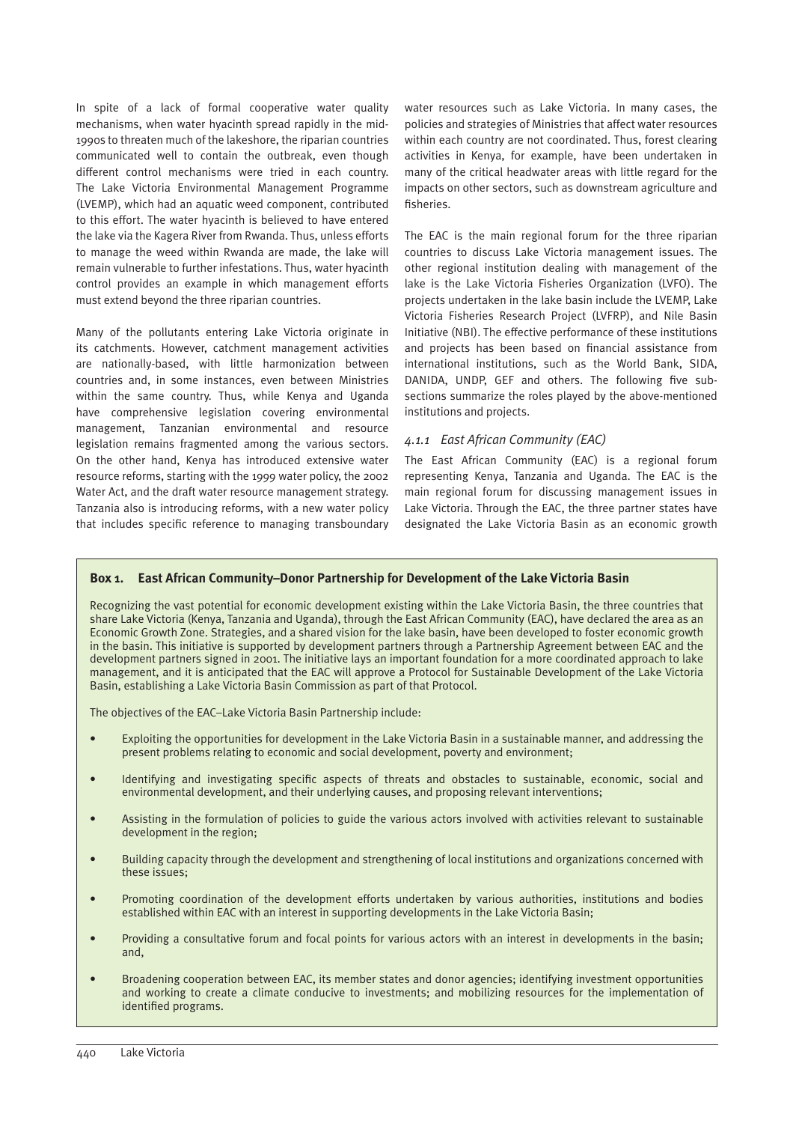In spite of a lack of formal cooperative water quality mechanisms, when water hyacinth spread rapidly in the mid-1990s to threaten much of the lakeshore, the riparian countries communicated well to contain the outbreak, even though different control mechanisms were tried in each country. The Lake Victoria Environmental Management Programme (LVEMP), which had an aquatic weed component, contributed to this effort. The water hyacinth is believed to have entered the lake via the Kagera River from Rwanda. Thus, unless efforts to manage the weed within Rwanda are made, the lake will remain vulnerable to further infestations. Thus, water hyacinth control provides an example in which management efforts must extend beyond the three riparian countries.

Many of the pollutants entering Lake Victoria originate in its catchments. However, catchment management activities are nationally-based, with little harmonization between countries and, in some instances, even between Ministries within the same country. Thus, while Kenya and Uganda have comprehensive legislation covering environmental management, Tanzanian environmental and resource legislation remains fragmented among the various sectors. On the other hand, Kenya has introduced extensive water resource reforms, starting with the 1999 water policy, the 2002 Water Act, and the draft water resource management strategy. Tanzania also is introducing reforms, with a new water policy that includes specific reference to managing transboundary water resources such as Lake Victoria. In many cases, the policies and strategies of Ministries that affect water resources within each country are not coordinated. Thus, forest clearing activities in Kenya, for example, have been undertaken in many of the critical headwater areas with little regard for the impacts on other sectors, such as downstream agriculture and fisheries.

The EAC is the main regional forum for the three riparian countries to discuss Lake Victoria management issues. The other regional institution dealing with management of the lake is the Lake Victoria Fisheries Organization (LVFO). The projects undertaken in the lake basin include the LVEMP, Lake Victoria Fisheries Research Project (LVFRP), and Nile Basin Initiative (NBI). The effective performance of these institutions and projects has been based on financial assistance from international institutions, such as the World Bank, SIDA, DANIDA, UNDP, GEF and others. The following five subsections summarize the roles played by the above-mentioned institutions and projects.

### *4.1.1 East African Community (EAC)*

The East African Community (EAC) is a regional forum representing Kenya, Tanzania and Uganda. The EAC is the main regional forum for discussing management issues in Lake Victoria. Through the EAC, the three partner states have designated the Lake Victoria Basin as an economic growth

#### **Box 1. East African Community–Donor Partnership for Development of the Lake Victoria Basin**

Recognizing the vast potential for economic development existing within the Lake Victoria Basin, the three countries that share Lake Victoria (Kenya, Tanzania and Uganda), through the East African Community (EAC), have declared the area as an Economic Growth Zone. Strategies, and a shared vision for the lake basin, have been developed to foster economic growth in the basin. This initiative is supported by development partners through a Partnership Agreement between EAC and the development partners signed in 2001. The initiative lays an important foundation for a more coordinated approach to lake management, and it is anticipated that the EAC will approve a Protocol for Sustainable Development of the Lake Victoria Basin, establishing a Lake Victoria Basin Commission as part of that Protocol.

The objectives of the EAC–Lake Victoria Basin Partnership include:

- Exploiting the opportunities for development in the Lake Victoria Basin in a sustainable manner, and addressing the present problems relating to economic and social development, poverty and environment;
- Identifying and investigating specific aspects of threats and obstacles to sustainable, economic, social and environmental development, and their underlying causes, and proposing relevant interventions;
- Assisting in the formulation of policies to guide the various actors involved with activities relevant to sustainable development in the region;
- Building capacity through the development and strengthening of local institutions and organizations concerned with these issues;
- Promoting coordination of the development efforts undertaken by various authorities, institutions and bodies established within EAC with an interest in supporting developments in the Lake Victoria Basin;
- Providing a consultative forum and focal points for various actors with an interest in developments in the basin; and,
- Broadening cooperation between EAC, its member states and donor agencies; identifying investment opportunities and working to create a climate conducive to investments; and mobilizing resources for the implementation of identified programs.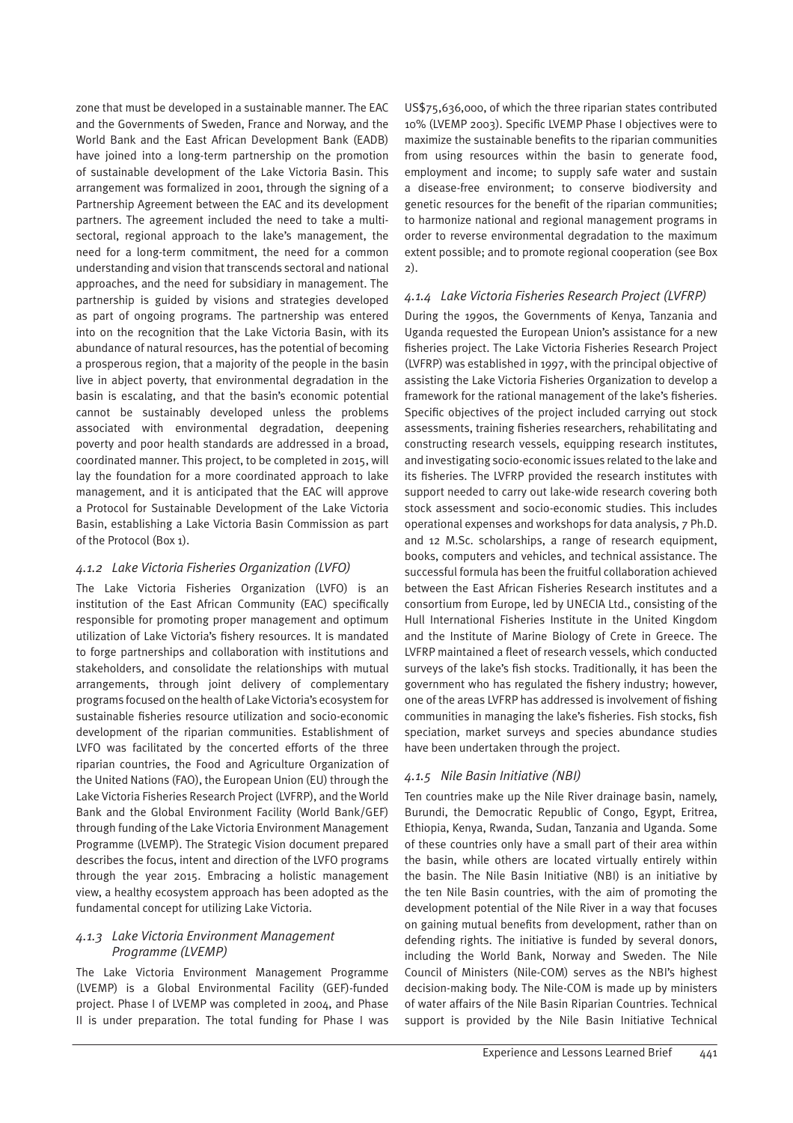zone that must be developed in a sustainable manner. The EAC and the Governments of Sweden, France and Norway, and the World Bank and the East African Development Bank (EADB) have joined into a long-term partnership on the promotion of sustainable development of the Lake Victoria Basin. This arrangement was formalized in 2001, through the signing of a Partnership Agreement between the EAC and its development partners. The agreement included the need to take a multisectoral, regional approach to the lake's management, the need for a long-term commitment, the need for a common understanding and vision that transcends sectoral and national approaches, and the need for subsidiary in management. The partnership is guided by visions and strategies developed as part of ongoing programs. The partnership was entered into on the recognition that the Lake Victoria Basin, with its abundance of natural resources, has the potential of becoming a prosperous region, that a majority of the people in the basin live in abject poverty, that environmental degradation in the basin is escalating, and that the basin's economic potential cannot be sustainably developed unless the problems associated with environmental degradation, deepening poverty and poor health standards are addressed in a broad, coordinated manner. This project, to be completed in 2015, will lay the foundation for a more coordinated approach to lake management, and it is anticipated that the EAC will approve a Protocol for Sustainable Development of the Lake Victoria Basin, establishing a Lake Victoria Basin Commission as part of the Protocol (Box 1).

# *4.1.2 Lake Victoria Fisheries Organization (LVFO)*

The Lake Victoria Fisheries Organization (LVFO) is an institution of the East African Community (EAC) specifically responsible for promoting proper management and optimum utilization of Lake Victoria's fishery resources. It is mandated to forge partnerships and collaboration with institutions and stakeholders, and consolidate the relationships with mutual arrangements, through joint delivery of complementary programs focused on the health of Lake Victoria's ecosystem for sustainable fisheries resource utilization and socio-economic development of the riparian communities. Establishment of LVFO was facilitated by the concerted efforts of the three riparian countries, the Food and Agriculture Organization of the United Nations (FAO), the European Union (EU) through the Lake Victoria Fisheries Research Project (LVFRP), and the World Bank and the Global Environment Facility (World Bank/GEF) through funding of the Lake Victoria Environment Management Programme (LVEMP). The Strategic Vision document prepared describes the focus, intent and direction of the LVFO programs through the year 2015. Embracing a holistic management view, a healthy ecosystem approach has been adopted as the fundamental concept for utilizing Lake Victoria.

### *4.1.3 Lake Victoria Environment Management Programme (LVEMP)*

The Lake Victoria Environment Management Programme (LVEMP) is a Global Environmental Facility (GEF)-funded project. Phase I of LVEMP was completed in 2004, and Phase II is under preparation. The total funding for Phase I was

US\$75,636,000, of which the three riparian states contributed 10% (LVEMP 2003). Specific LVEMP Phase I objectives were to maximize the sustainable benefits to the riparian communities from using resources within the basin to generate food, employment and income; to supply safe water and sustain a disease-free environment; to conserve biodiversity and genetic resources for the benefit of the riparian communities; to harmonize national and regional management programs in order to reverse environmental degradation to the maximum extent possible; and to promote regional cooperation (see Box 2).

# *4.1.4 Lake Victoria Fisheries Research Project (LVFRP)*

During the 1990s, the Governments of Kenya, Tanzania and Uganda requested the European Union's assistance for a new fisheries project. The Lake Victoria Fisheries Research Project (LVFRP) was established in 1997, with the principal objective of assisting the Lake Victoria Fisheries Organization to develop a framework for the rational management of the lake's fisheries. Specific objectives of the project included carrying out stock assessments, training fisheries researchers, rehabilitating and constructing research vessels, equipping research institutes, and investigating socio-economic issues related to the lake and its fisheries. The LVFRP provided the research institutes with support needed to carry out lake-wide research covering both stock assessment and socio-economic studies. This includes operational expenses and workshops for data analysis, 7 Ph.D. and 12 M.Sc. scholarships, a range of research equipment, books, computers and vehicles, and technical assistance. The successful formula has been the fruitful collaboration achieved between the East African Fisheries Research institutes and a consortium from Europe, led by UNECIA Ltd., consisting of the Hull International Fisheries Institute in the United Kingdom and the Institute of Marine Biology of Crete in Greece. The LVFRP maintained a fleet of research vessels, which conducted surveys of the lake's fish stocks. Traditionally, it has been the government who has regulated the fishery industry; however, one of the areas LVFRP has addressed is involvement of fishing communities in managing the lake's fisheries. Fish stocks, fish speciation, market surveys and species abundance studies have been undertaken through the project.

# *4.1.5 Nile Basin Initiative (NBI)*

Ten countries make up the Nile River drainage basin, namely, Burundi, the Democratic Republic of Congo, Egypt, Eritrea, Ethiopia, Kenya, Rwanda, Sudan, Tanzania and Uganda. Some of these countries only have a small part of their area within the basin, while others are located virtually entirely within the basin. The Nile Basin Initiative (NBI) is an initiative by the ten Nile Basin countries, with the aim of promoting the development potential of the Nile River in a way that focuses on gaining mutual benefits from development, rather than on defending rights. The initiative is funded by several donors, including the World Bank, Norway and Sweden. The Nile Council of Ministers (Nile-COM) serves as the NBI's highest decision-making body. The Nile-COM is made up by ministers of water affairs of the Nile Basin Riparian Countries. Technical support is provided by the Nile Basin Initiative Technical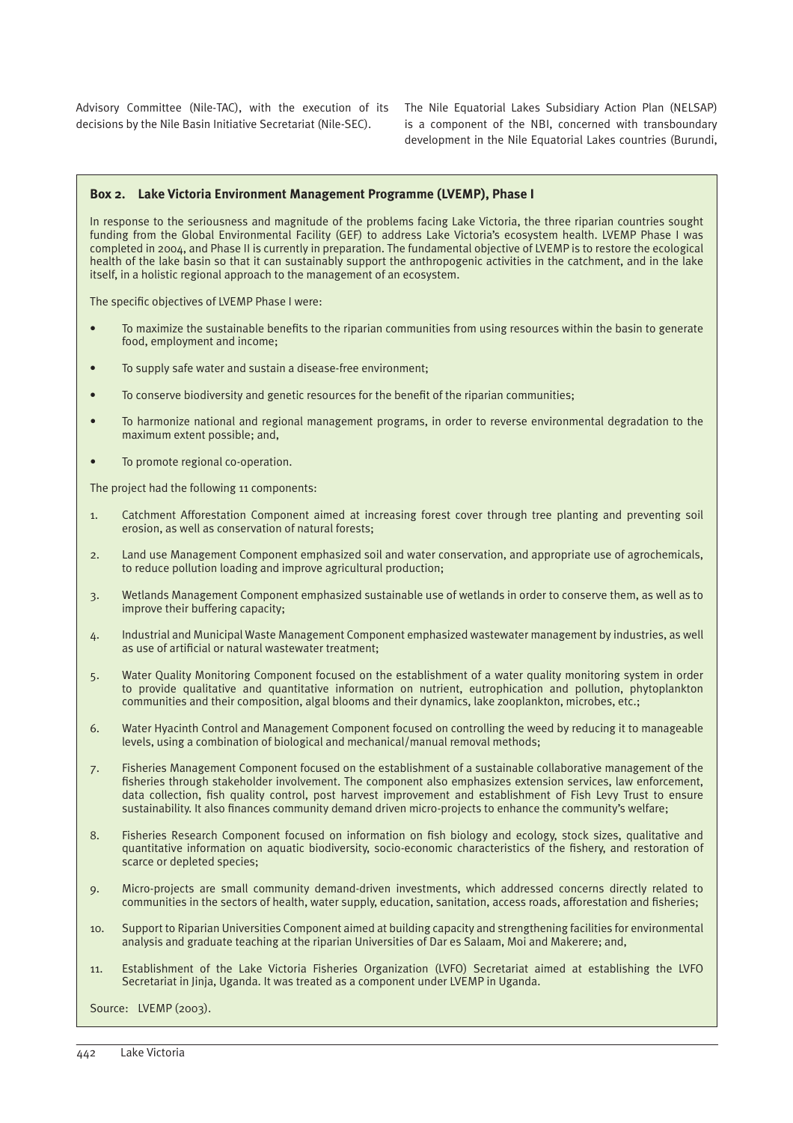decisions by the Nile Basin Initiative Secretariat (Nile-SEC).

Advisory Committee (Nile-TAC), with the execution of its The Nile Equatorial Lakes Subsidiary Action Plan (NELSAP) is a component of the NBI, concerned with transboundary development in the Nile Equatorial Lakes countries (Burundi,

#### **Box 2. Lake Victoria Environment Management Programme (LVEMP), Phase I**

In response to the seriousness and magnitude of the problems facing Lake Victoria, the three riparian countries sought funding from the Global Environmental Facility (GEF) to address Lake Victoria's ecosystem health. LVEMP Phase I was completed in 2004, and Phase II is currently in preparation. The fundamental objective of LVEMP is to restore the ecological health of the lake basin so that it can sustainably support the anthropogenic activities in the catchment, and in the lake itself, in a holistic regional approach to the management of an ecosystem.

The specific objectives of LVEMP Phase I were:

- To maximize the sustainable benefits to the riparian communities from using resources within the basin to generate food, employment and income;
- To supply safe water and sustain a disease-free environment;
- To conserve biodiversity and genetic resources for the benefit of the riparian communities;
- To harmonize national and regional management programs, in order to reverse environmental degradation to the maximum extent possible; and,
- To promote regional co-operation.

The project had the following 11 components:

- 1. Catchment Afforestation Component aimed at increasing forest cover through tree planting and preventing soil erosion, as well as conservation of natural forests;
- 2. Land use Management Component emphasized soil and water conservation, and appropriate use of agrochemicals, to reduce pollution loading and improve agricultural production;
- 3. Wetlands Management Component emphasized sustainable use of wetlands in order to conserve them, as well as to improve their buffering capacity;
- 4. Industrial and Municipal Waste Management Component emphasized wastewater management by industries, as well as use of artificial or natural wastewater treatment;
- 5. Water Quality Monitoring Component focused on the establishment of a water quality monitoring system in order to provide qualitative and quantitative information on nutrient, eutrophication and pollution, phytoplankton communities and their composition, algal blooms and their dynamics, lake zooplankton, microbes, etc.;
- 6. Water Hyacinth Control and Management Component focused on controlling the weed by reducing it to manageable levels, using a combination of biological and mechanical/manual removal methods;
- 7. Fisheries Management Component focused on the establishment of a sustainable collaborative management of the fisheries through stakeholder involvement. The component also emphasizes extension services, law enforcement, data collection, fish quality control, post harvest improvement and establishment of Fish Levy Trust to ensure sustainability. It also finances community demand driven micro-projects to enhance the community's welfare;
- 8. Fisheries Research Component focused on information on fish biology and ecology, stock sizes, qualitative and quantitative information on aquatic biodiversity, socio-economic characteristics of the fishery, and restoration of scarce or depleted species;
- 9. Micro-projects are small community demand-driven investments, which addressed concerns directly related to communities in the sectors of health, water supply, education, sanitation, access roads, afforestation and fisheries;
- 10. Support to Riparian Universities Component aimed at building capacity and strengthening facilities for environmental analysis and graduate teaching at the riparian Universities of Dar es Salaam, Moi and Makerere; and,
- 11. Establishment of the Lake Victoria Fisheries Organization (LVFO) Secretariat aimed at establishing the LVFO Secretariat in Jinja, Uganda. It was treated as a component under LVEMP in Uganda.

Source: LVEMP (2003).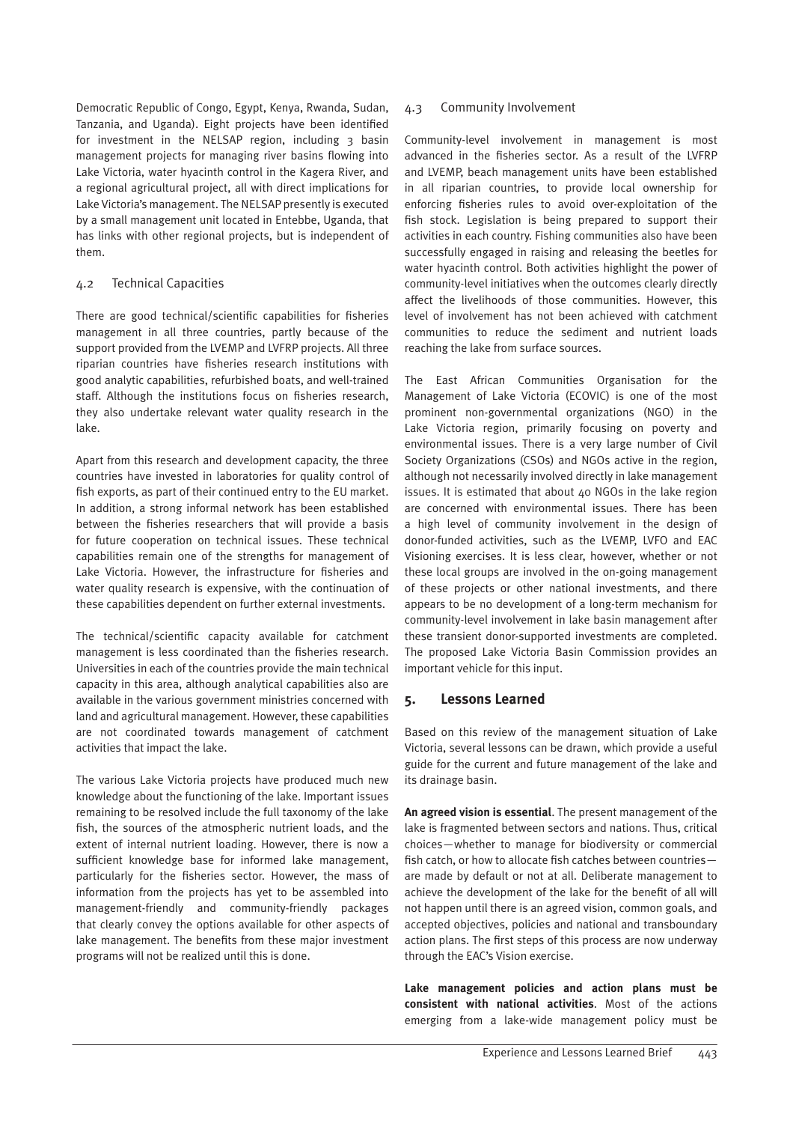Democratic Republic of Congo, Egypt, Kenya, Rwanda, Sudan, Tanzania, and Uganda). Eight projects have been identified for investment in the NELSAP region, including 3 basin management projects for managing river basins flowing into Lake Victoria, water hyacinth control in the Kagera River, and a regional agricultural project, all with direct implications for Lake Victoria's management. The NELSAP presently is executed by a small management unit located in Entebbe, Uganda, that has links with other regional projects, but is independent of them.

### 4.2 Technical Capacities

There are good technical/scientific capabilities for fisheries management in all three countries, partly because of the support provided from the LVEMP and LVFRP projects. All three riparian countries have fisheries research institutions with good analytic capabilities, refurbished boats, and well-trained staff. Although the institutions focus on fisheries research, they also undertake relevant water quality research in the lake.

Apart from this research and development capacity, the three countries have invested in laboratories for quality control of fish exports, as part of their continued entry to the EU market. In addition, a strong informal network has been established between the fisheries researchers that will provide a basis for future cooperation on technical issues. These technical capabilities remain one of the strengths for management of Lake Victoria. However, the infrastructure for fisheries and water quality research is expensive, with the continuation of these capabilities dependent on further external investments.

The technical/scientific capacity available for catchment management is less coordinated than the fisheries research. Universities in each of the countries provide the main technical capacity in this area, although analytical capabilities also are available in the various government ministries concerned with land and agricultural management. However, these capabilities are not coordinated towards management of catchment activities that impact the lake.

The various Lake Victoria projects have produced much new knowledge about the functioning of the lake. Important issues remaining to be resolved include the full taxonomy of the lake fish, the sources of the atmospheric nutrient loads, and the extent of internal nutrient loading. However, there is now a sufficient knowledge base for informed lake management, particularly for the fisheries sector. However, the mass of information from the projects has yet to be assembled into management-friendly and community-friendly packages that clearly convey the options available for other aspects of lake management. The benefits from these major investment programs will not be realized until this is done.

### 4.3 Community Involvement

Community-level involvement in management is most advanced in the fisheries sector. As a result of the LVFRP and LVEMP, beach management units have been established in all riparian countries, to provide local ownership for enforcing fisheries rules to avoid over-exploitation of the fish stock. Legislation is being prepared to support their activities in each country. Fishing communities also have been successfully engaged in raising and releasing the beetles for water hyacinth control. Both activities highlight the power of community-level initiatives when the outcomes clearly directly affect the livelihoods of those communities. However, this level of involvement has not been achieved with catchment communities to reduce the sediment and nutrient loads reaching the lake from surface sources.

The East African Communities Organisation for the Management of Lake Victoria (ECOVIC) is one of the most prominent non-governmental organizations (NGO) in the Lake Victoria region, primarily focusing on poverty and environmental issues. There is a very large number of Civil Society Organizations (CSOs) and NGOs active in the region, although not necessarily involved directly in lake management issues. It is estimated that about 40 NGOs in the lake region are concerned with environmental issues. There has been a high level of community involvement in the design of donor-funded activities, such as the LVEMP, LVFO and EAC Visioning exercises. It is less clear, however, whether or not these local groups are involved in the on-going management of these projects or other national investments, and there appears to be no development of a long-term mechanism for community-level involvement in lake basin management after these transient donor-supported investments are completed. The proposed Lake Victoria Basin Commission provides an important vehicle for this input.

# **5. Lessons Learned**

Based on this review of the management situation of Lake Victoria, several lessons can be drawn, which provide a useful guide for the current and future management of the lake and its drainage basin.

**An agreed vision is essential**. The present management of the lake is fragmented between sectors and nations. Thus, critical choices—whether to manage for biodiversity or commercial fish catch, or how to allocate fish catches between countries are made by default or not at all. Deliberate management to achieve the development of the lake for the benefit of all will not happen until there is an agreed vision, common goals, and accepted objectives, policies and national and transboundary action plans. The first steps of this process are now underway through the EAC's Vision exercise.

**Lake management policies and action plans must be consistent with national activities**. Most of the actions emerging from a lake-wide management policy must be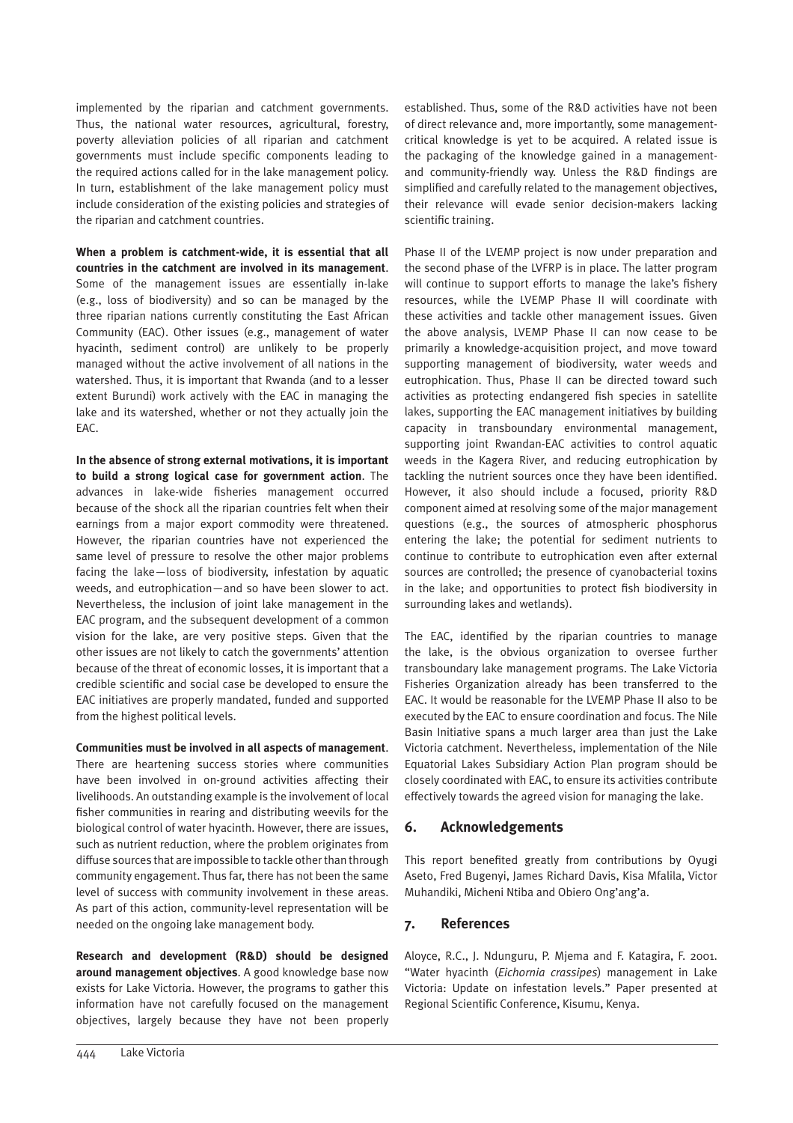implemented by the riparian and catchment governments. Thus, the national water resources, agricultural, forestry, poverty alleviation policies of all riparian and catchment governments must include specific components leading to the required actions called for in the lake management policy. In turn, establishment of the lake management policy must include consideration of the existing policies and strategies of the riparian and catchment countries.

**When a problem is catchment-wide, it is essential that all countries in the catchment are involved in its management**. Some of the management issues are essentially in-lake (e.g., loss of biodiversity) and so can be managed by the three riparian nations currently constituting the East African Community (EAC). Other issues (e.g., management of water hyacinth, sediment control) are unlikely to be properly managed without the active involvement of all nations in the watershed. Thus, it is important that Rwanda (and to a lesser extent Burundi) work actively with the EAC in managing the lake and its watershed, whether or not they actually join the EAC.

**In the absence of strong external motivations, it is important to build a strong logical case for government action**. The advances in lake-wide fisheries management occurred because of the shock all the riparian countries felt when their earnings from a major export commodity were threatened. However, the riparian countries have not experienced the same level of pressure to resolve the other major problems facing the lake—loss of biodiversity, infestation by aquatic weeds, and eutrophication—and so have been slower to act. Nevertheless, the inclusion of joint lake management in the EAC program, and the subsequent development of a common vision for the lake, are very positive steps. Given that the other issues are not likely to catch the governments' attention because of the threat of economic losses, it is important that a credible scientific and social case be developed to ensure the EAC initiatives are properly mandated, funded and supported from the highest political levels.

**Communities must be involved in all aspects of management**. There are heartening success stories where communities have been involved in on-ground activities affecting their livelihoods. An outstanding example is the involvement of local fisher communities in rearing and distributing weevils for the biological control of water hyacinth. However, there are issues, such as nutrient reduction, where the problem originates from diffuse sources that are impossible to tackle other than through community engagement. Thus far, there has not been the same level of success with community involvement in these areas. As part of this action, community-level representation will be needed on the ongoing lake management body.

**Research and development (R&D) should be designed around management objectives**. A good knowledge base now exists for Lake Victoria. However, the programs to gather this information have not carefully focused on the management objectives, largely because they have not been properly established. Thus, some of the R&D activities have not been of direct relevance and, more importantly, some managementcritical knowledge is yet to be acquired. A related issue is the packaging of the knowledge gained in a managementand community-friendly way. Unless the R&D findings are simplified and carefully related to the management objectives, their relevance will evade senior decision-makers lacking scientific training.

Phase II of the LVEMP project is now under preparation and the second phase of the LVFRP is in place. The latter program will continue to support efforts to manage the lake's fishery resources, while the LVEMP Phase II will coordinate with these activities and tackle other management issues. Given the above analysis, LVEMP Phase II can now cease to be primarily a knowledge-acquisition project, and move toward supporting management of biodiversity, water weeds and eutrophication. Thus, Phase II can be directed toward such activities as protecting endangered fish species in satellite lakes, supporting the EAC management initiatives by building capacity in transboundary environmental management, supporting joint Rwandan-EAC activities to control aquatic weeds in the Kagera River, and reducing eutrophication by tackling the nutrient sources once they have been identified. However, it also should include a focused, priority R&D component aimed at resolving some of the major management questions (e.g., the sources of atmospheric phosphorus entering the lake; the potential for sediment nutrients to continue to contribute to eutrophication even after external sources are controlled; the presence of cyanobacterial toxins in the lake; and opportunities to protect fish biodiversity in surrounding lakes and wetlands).

The EAC, identified by the riparian countries to manage the lake, is the obvious organization to oversee further transboundary lake management programs. The Lake Victoria Fisheries Organization already has been transferred to the EAC. It would be reasonable for the LVEMP Phase II also to be executed by the EAC to ensure coordination and focus. The Nile Basin Initiative spans a much larger area than just the Lake Victoria catchment. Nevertheless, implementation of the Nile Equatorial Lakes Subsidiary Action Plan program should be closely coordinated with EAC, to ensure its activities contribute effectively towards the agreed vision for managing the lake.

# **6. Acknowledgements**

This report benefited greatly from contributions by Oyugi Aseto, Fred Bugenyi, James Richard Davis, Kisa Mfalila, Victor Muhandiki, Micheni Ntiba and Obiero Ong'ang'a.

# **7. References**

Aloyce, R.C., J. Ndunguru, P. Mjema and F. Katagira, F. 2001. "Water hyacinth (*Eichornia crassipes*) management in Lake Victoria: Update on infestation levels." Paper presented at Regional Scientific Conference, Kisumu, Kenya.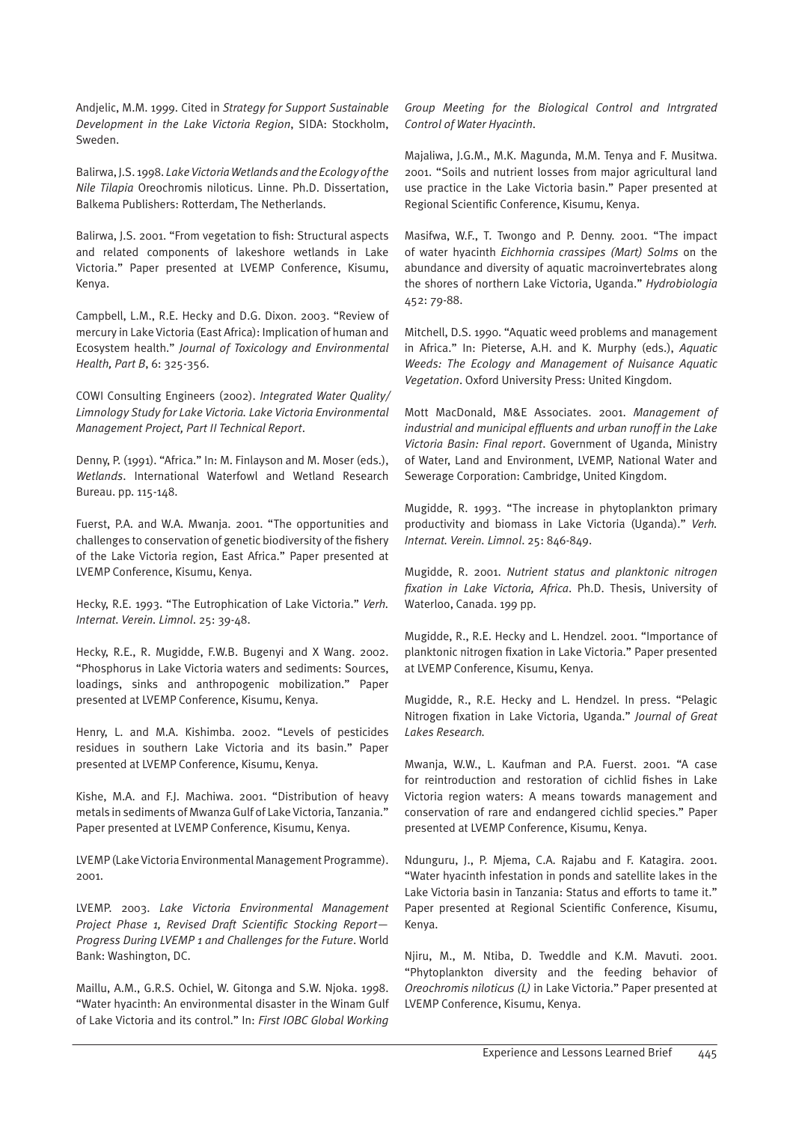Andjelic, M.M. 1999. Cited in *Strategy for Support Sustainable Development in the Lake Victoria Region*, SIDA: Stockholm, Sweden.

Balirwa, J.S. 1998. *Lake Victoria Wetlands and the Ecology of the Nile Tilapia* Oreochromis niloticus. Linne. Ph.D. Dissertation, Balkema Publishers: Rotterdam, The Netherlands.

Balirwa, J.S. 2001. "From vegetation to fish: Structural aspects and related components of lakeshore wetlands in Lake Victoria." Paper presented at LVEMP Conference, Kisumu, Kenya.

Campbell, L.M., R.E. Hecky and D.G. Dixon. 2003. "Review of mercury in Lake Victoria (East Africa): Implication of human and Ecosystem health." *Journal of Toxicology and Environmental Health, Part B*, 6: 325-356.

COWI Consulting Engineers (2002). *Integrated Water Quality/ Limnology Study for Lake Victoria. Lake Victoria Environmental Management Project, Part II Technical Report*.

Denny, P. (1991). "Africa." In: M. Finlayson and M. Moser (eds.), *Wetlands*. International Waterfowl and Wetland Research Bureau. pp. 115-148.

Fuerst, P.A. and W.A. Mwanja. 2001. "The opportunities and challenges to conservation of genetic biodiversity of the fishery of the Lake Victoria region, East Africa." Paper presented at LVEMP Conference, Kisumu, Kenya.

Hecky, R.E. 1993. "The Eutrophication of Lake Victoria." *Verh. Internat. Verein. Limnol*. 25: 39-48.

Hecky, R.E., R. Mugidde, F.W.B. Bugenyi and X Wang. 2002. "Phosphorus in Lake Victoria waters and sediments: Sources, loadings, sinks and anthropogenic mobilization." Paper presented at LVEMP Conference, Kisumu, Kenya.

Henry, L. and M.A. Kishimba. 2002. "Levels of pesticides residues in southern Lake Victoria and its basin." Paper presented at LVEMP Conference, Kisumu, Kenya.

Kishe, M.A. and F.J. Machiwa. 2001. "Distribution of heavy metals in sediments of Mwanza Gulf of Lake Victoria, Tanzania." Paper presented at LVEMP Conference, Kisumu, Kenya.

LVEMP (Lake Victoria Environmental Management Programme). 2001.

LVEMP. 2003. *Lake Victoria Environmental Management Project Phase 1, Revised Draft Scientific Stocking Report— Progress During LVEMP 1 and Challenges for the Future*. World Bank: Washington, DC.

Maillu, A.M., G.R.S. Ochiel, W. Gitonga and S.W. Njoka. 1998. "Water hyacinth: An environmental disaster in the Winam Gulf of Lake Victoria and its control." In: *First IOBC Global Working* 

*Group Meeting for the Biological Control and Intrgrated Control of Water Hyacinth*.

Majaliwa, J.G.M., M.K. Magunda, M.M. Tenya and F. Musitwa. 2001. "Soils and nutrient losses from major agricultural land use practice in the Lake Victoria basin." Paper presented at Regional Scientific Conference, Kisumu, Kenya.

Masifwa, W.F., T. Twongo and P. Denny. 2001. "The impact of water hyacinth *Eichhornia crassipes (Mart) Solms* on the abundance and diversity of aquatic macroinvertebrates along the shores of northern Lake Victoria, Uganda." *Hydrobiologia* 452: 79-88.

Mitchell, D.S. 1990. "Aquatic weed problems and management in Africa." In: Pieterse, A.H. and K. Murphy (eds.), *Aquatic Weeds: The Ecology and Management of Nuisance Aquatic Vegetation*. Oxford University Press: United Kingdom.

Mott MacDonald, M&E Associates. 2001. *Management of industrial and municipal effluents and urban runoff in the Lake Victoria Basin: Final report*. Government of Uganda, Ministry of Water, Land and Environment, LVEMP, National Water and Sewerage Corporation: Cambridge, United Kingdom.

Mugidde, R. 1993. "The increase in phytoplankton primary productivity and biomass in Lake Victoria (Uganda)." *Verh. Internat. Verein. Limnol*. 25: 846-849.

Mugidde, R. 2001. *Nutrient status and planktonic nitrogen fixation in Lake Victoria, Africa*. Ph.D. Thesis, University of Waterloo, Canada. 199 pp.

Mugidde, R., R.E. Hecky and L. Hendzel. 2001. "Importance of planktonic nitrogen fixation in Lake Victoria." Paper presented at LVEMP Conference, Kisumu, Kenya.

Mugidde, R., R.E. Hecky and L. Hendzel. In press. "Pelagic Nitrogen fixation in Lake Victoria, Uganda." *Journal of Great Lakes Research.*

Mwanja, W.W., L. Kaufman and P.A. Fuerst. 2001. "A case for reintroduction and restoration of cichlid fishes in Lake Victoria region waters: A means towards management and conservation of rare and endangered cichlid species." Paper presented at LVEMP Conference, Kisumu, Kenya.

Ndunguru, J., P. Mjema, C.A. Rajabu and F. Katagira. 2001. "Water hyacinth infestation in ponds and satellite lakes in the Lake Victoria basin in Tanzania: Status and efforts to tame it." Paper presented at Regional Scientific Conference, Kisumu, Kenya.

Njiru, M., M. Ntiba, D. Tweddle and K.M. Mavuti. 2001. "Phytoplankton diversity and the feeding behavior of *Oreochromis niloticus (L)* in Lake Victoria." Paper presented at LVEMP Conference, Kisumu, Kenya.